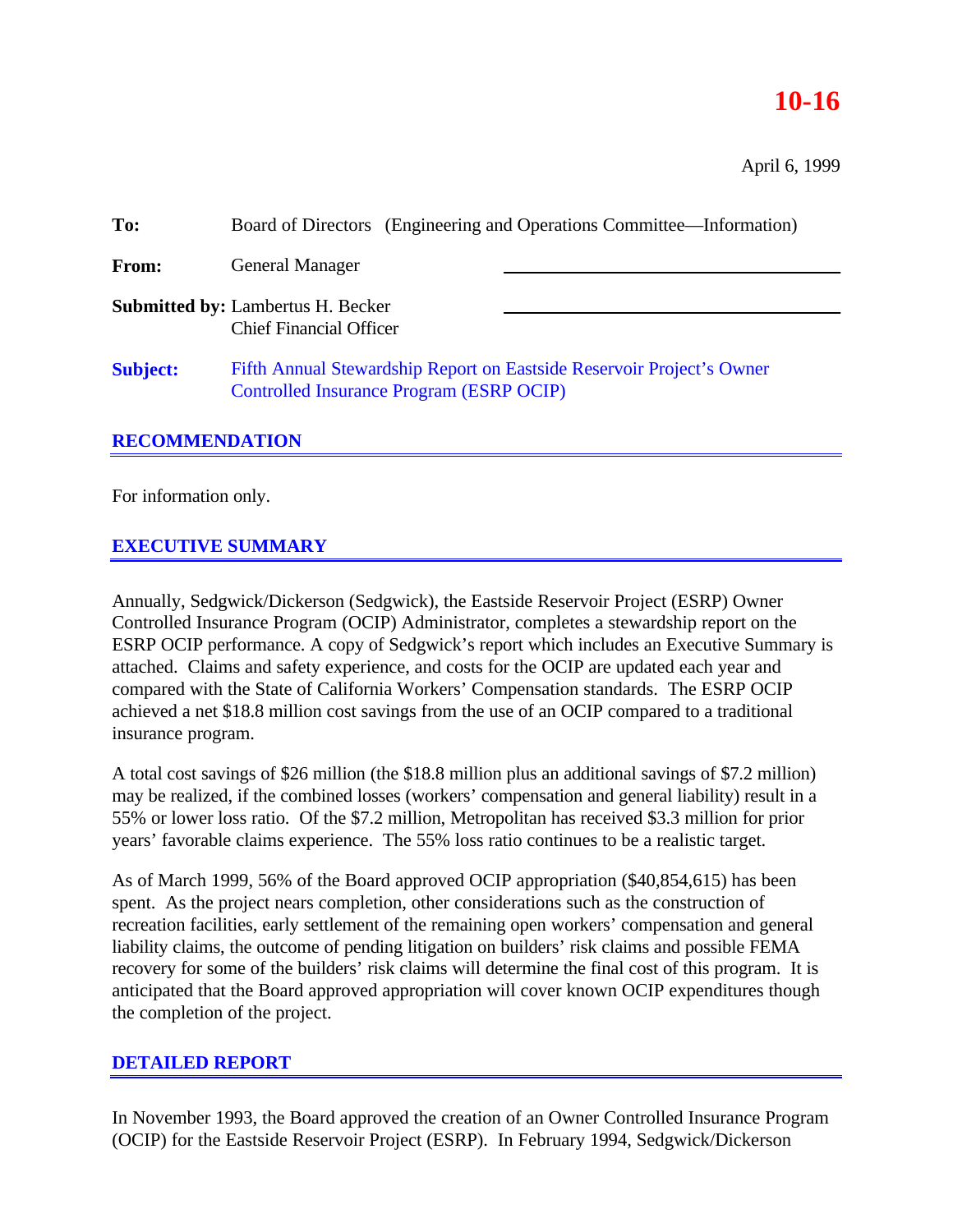# **10-16**

April 6, 1999

| To:             | Board of Directors (Engineering and Operations Committee—Information)                                             |  |  |
|-----------------|-------------------------------------------------------------------------------------------------------------------|--|--|
| From:           | <b>General Manager</b>                                                                                            |  |  |
|                 | <b>Submitted by: Lambertus H. Becker</b><br><b>Chief Financial Officer</b>                                        |  |  |
| <b>Subject:</b> | Fifth Annual Stewardship Report on Eastside Reservoir Project's Owner<br>Controlled Insurance Program (ESRP OCIP) |  |  |

### **RECOMMENDATION**

For information only.

### **EXECUTIVE SUMMARY**

Annually, Sedgwick/Dickerson (Sedgwick), the Eastside Reservoir Project (ESRP) Owner Controlled Insurance Program (OCIP) Administrator, completes a stewardship report on the ESRP OCIP performance. A copy of Sedgwick's report which includes an Executive Summary is attached. Claims and safety experience, and costs for the OCIP are updated each year and compared with the State of California Workers' Compensation standards. The ESRP OCIP achieved a net \$18.8 million cost savings from the use of an OCIP compared to a traditional insurance program.

A total cost savings of \$26 million (the \$18.8 million plus an additional savings of \$7.2 million) may be realized, if the combined losses (workers' compensation and general liability) result in a 55% or lower loss ratio. Of the \$7.2 million, Metropolitan has received \$3.3 million for prior years' favorable claims experience. The 55% loss ratio continues to be a realistic target.

As of March 1999, 56% of the Board approved OCIP appropriation (\$40,854,615) has been spent. As the project nears completion, other considerations such as the construction of recreation facilities, early settlement of the remaining open workers' compensation and general liability claims, the outcome of pending litigation on builders' risk claims and possible FEMA recovery for some of the builders' risk claims will determine the final cost of this program. It is anticipated that the Board approved appropriation will cover known OCIP expenditures though the completion of the project.

#### **DETAILED REPORT**

In November 1993, the Board approved the creation of an Owner Controlled Insurance Program (OCIP) for the Eastside Reservoir Project (ESRP). In February 1994, Sedgwick/Dickerson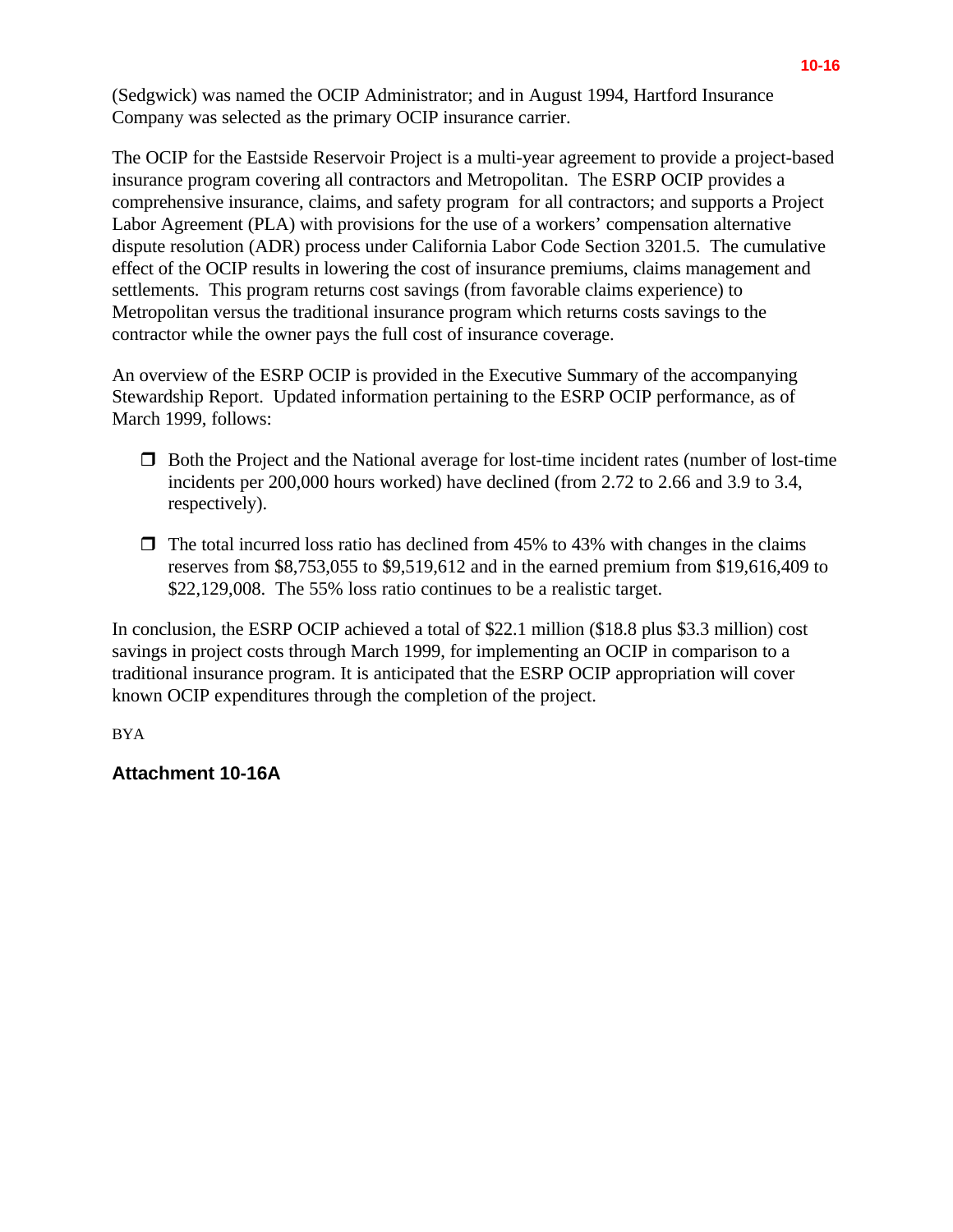(Sedgwick) was named the OCIP Administrator; and in August 1994, Hartford Insurance Company was selected as the primary OCIP insurance carrier.

The OCIP for the Eastside Reservoir Project is a multi-year agreement to provide a project-based insurance program covering all contractors and Metropolitan. The ESRP OCIP provides a comprehensive insurance, claims, and safety program for all contractors; and supports a Project Labor Agreement (PLA) with provisions for the use of a workers' compensation alternative dispute resolution (ADR) process under California Labor Code Section 3201.5. The cumulative effect of the OCIP results in lowering the cost of insurance premiums, claims management and settlements. This program returns cost savings (from favorable claims experience) to Metropolitan versus the traditional insurance program which returns costs savings to the contractor while the owner pays the full cost of insurance coverage.

An overview of the ESRP OCIP is provided in the Executive Summary of the accompanying Stewardship Report. Updated information pertaining to the ESRP OCIP performance, as of March 1999, follows:

- $\Box$  Both the Project and the National average for lost-time incident rates (number of lost-time incidents per 200,000 hours worked) have declined (from 2.72 to 2.66 and 3.9 to 3.4, respectively).
- $\Box$  The total incurred loss ratio has declined from 45% to 43% with changes in the claims reserves from \$8,753,055 to \$9,519,612 and in the earned premium from \$19,616,409 to \$22,129,008. The 55% loss ratio continues to be a realistic target.

In conclusion, the ESRP OCIP achieved a total of \$22.1 million (\$18.8 plus \$3.3 million) cost savings in project costs through March 1999, for implementing an OCIP in comparison to a traditional insurance program. It is anticipated that the ESRP OCIP appropriation will cover known OCIP expenditures through the completion of the project.

BYA

### **Attachment 10-16A**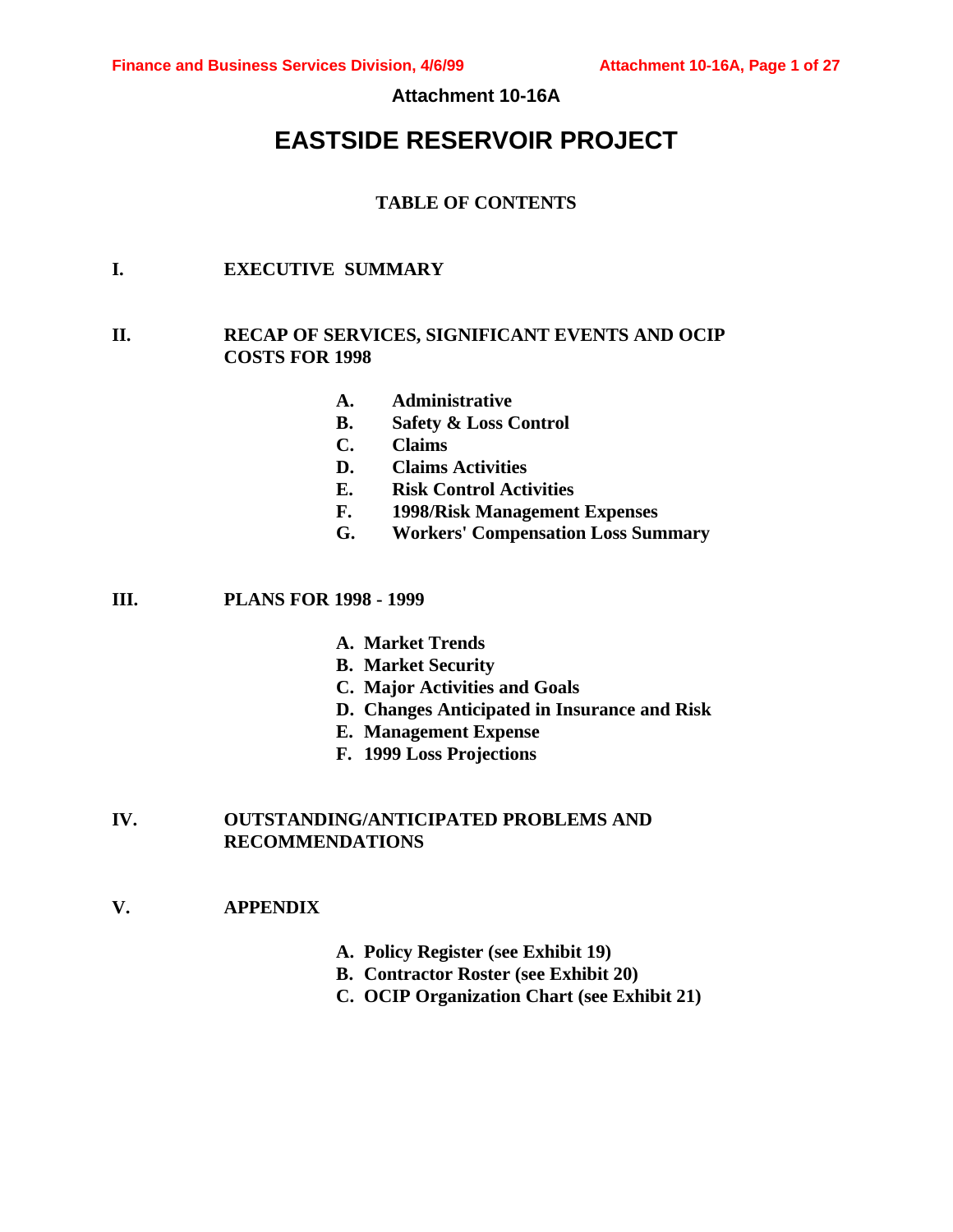#### **Attachment 10-16A**

# **EASTSIDE RESERVOIR PROJECT**

#### **TABLE OF CONTENTS**

### **I. EXECUTIVE SUMMARY**

#### **II. RECAP OF SERVICES, SIGNIFICANT EVENTS AND OCIP COSTS FOR 1998**

- **A. Administrative**
- **B. Safety & Loss Control**
- **C. Claims**
- **D. Claims Activities**
- **E. Risk Control Activities**
- **F. 1998/Risk Management Expenses**
- **G. Workers' Compensation Loss Summary**

**III. PLANS FOR 1998 - 1999**

- **A. Market Trends**
- **B. Market Security**
- **C. Major Activities and Goals**
- **D. Changes Anticipated in Insurance and Risk**
- **E. Management Expense**
- **F. 1999 Loss Projections**

#### **IV. OUTSTANDING/ANTICIPATED PROBLEMS AND RECOMMENDATIONS**

#### **V. APPENDIX**

- **A. Policy Register (see Exhibit 19)**
- **B. Contractor Roster (see Exhibit 20)**
- **C. OCIP Organization Chart (see Exhibit 21)**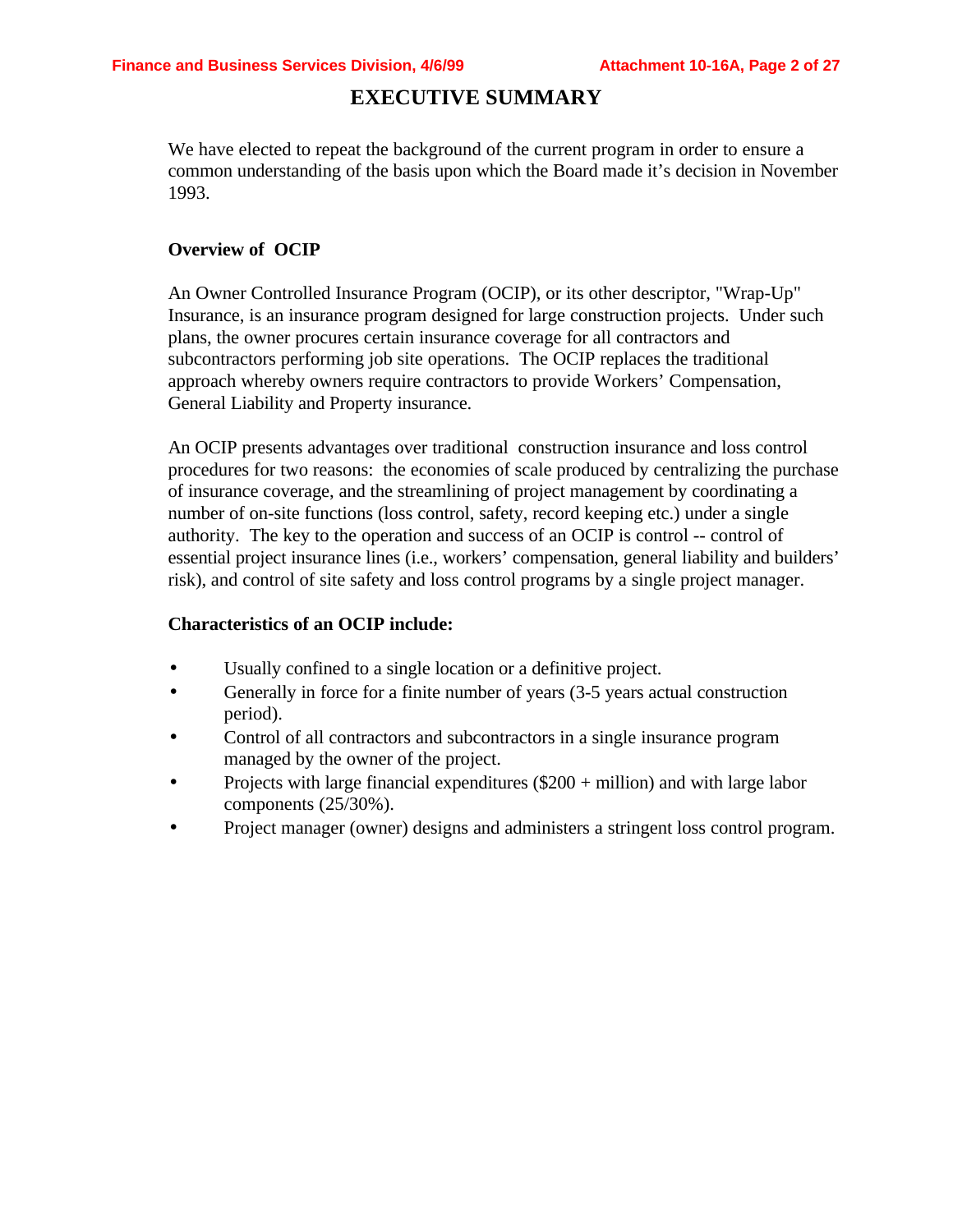### **EXECUTIVE SUMMARY**

We have elected to repeat the background of the current program in order to ensure a common understanding of the basis upon which the Board made it's decision in November 1993.

#### **Overview of OCIP**

An Owner Controlled Insurance Program (OCIP), or its other descriptor, "Wrap-Up" Insurance, is an insurance program designed for large construction projects. Under such plans, the owner procures certain insurance coverage for all contractors and subcontractors performing job site operations. The OCIP replaces the traditional approach whereby owners require contractors to provide Workers' Compensation, General Liability and Property insurance.

An OCIP presents advantages over traditional construction insurance and loss control procedures for two reasons: the economies of scale produced by centralizing the purchase of insurance coverage, and the streamlining of project management by coordinating a number of on-site functions (loss control, safety, record keeping etc.) under a single authority. The key to the operation and success of an OCIP is control -- control of essential project insurance lines (i.e., workers' compensation, general liability and builders' risk), and control of site safety and loss control programs by a single project manager.

#### **Characteristics of an OCIP include:**

- Usually confined to a single location or a definitive project.
- Generally in force for a finite number of years (3-5 years actual construction period).
- Control of all contractors and subcontractors in a single insurance program managed by the owner of the project.
- Projects with large financial expenditures  $(\$200 + million)$  and with large labor components (25/30%).
- Project manager (owner) designs and administers a stringent loss control program.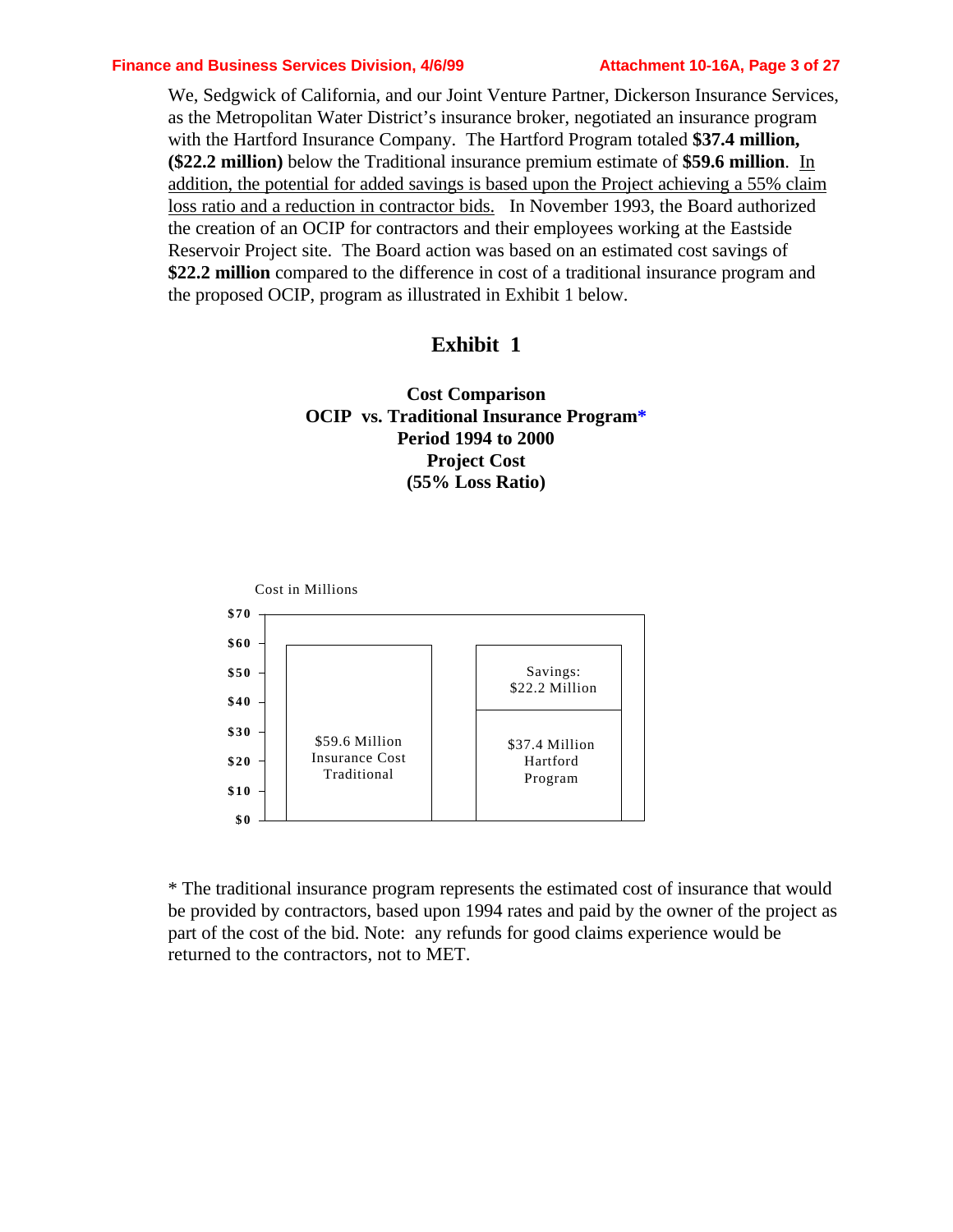#### **Finance and Business Services Division, 4/6/99 Attachment 10-16A, Page 3 of 27**

We, Sedgwick of California, and our Joint Venture Partner, Dickerson Insurance Services, as the Metropolitan Water District's insurance broker, negotiated an insurance program with the Hartford Insurance Company. The Hartford Program totaled **\$37.4 million, (\$22.2 million)** below the Traditional insurance premium estimate of **\$59.6 million**. In addition, the potential for added savings is based upon the Project achieving a 55% claim loss ratio and a reduction in contractor bids. In November 1993, the Board authorized the creation of an OCIP for contractors and their employees working at the Eastside Reservoir Project site. The Board action was based on an estimated cost savings of **\$22.2 million** compared to the difference in cost of a traditional insurance program and the proposed OCIP, program as illustrated in Exhibit 1 below.

### **Exhibit 1**

### **Cost Comparison OCIP vs. Traditional Insurance Program\* Period 1994 to 2000 Project Cost (55% Loss Ratio)**



\* The traditional insurance program represents the estimated cost of insurance that would be provided by contractors, based upon 1994 rates and paid by the owner of the project as part of the cost of the bid. Note: any refunds for good claims experience would be returned to the contractors, not to MET.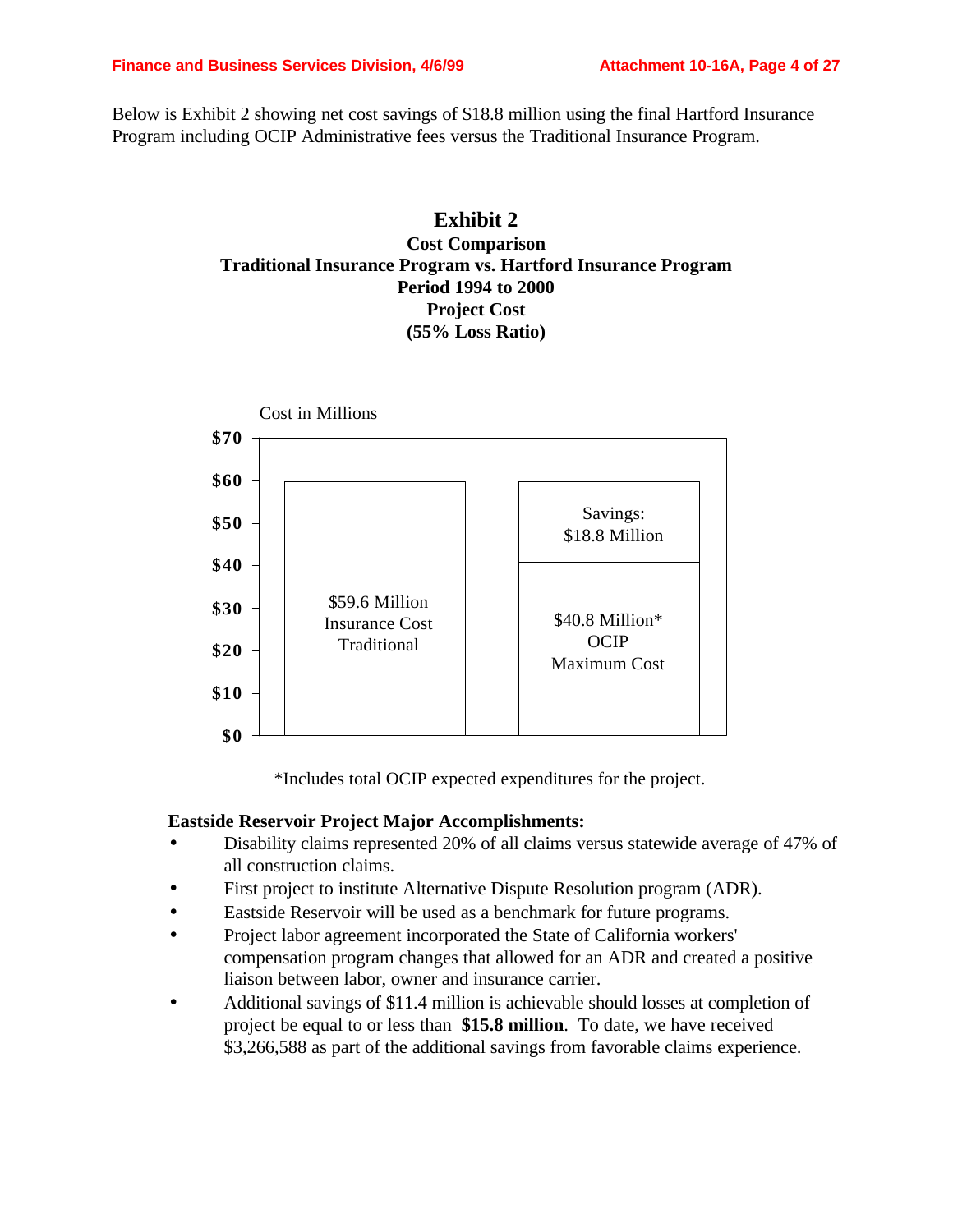Below is Exhibit 2 showing net cost savings of \$18.8 million using the final Hartford Insurance Program including OCIP Administrative fees versus the Traditional Insurance Program.

### **Exhibit 2 Cost Comparison Traditional Insurance Program vs. Hartford Insurance Program Period 1994 to 2000 Project Cost (55% Loss Ratio)**



\*Includes total OCIP expected expenditures for the project.

### **Eastside Reservoir Project Major Accomplishments:**

- Disability claims represented 20% of all claims versus statewide average of 47% of all construction claims.
- First project to institute Alternative Dispute Resolution program (ADR).
- Eastside Reservoir will be used as a benchmark for future programs.
- Project labor agreement incorporated the State of California workers' compensation program changes that allowed for an ADR and created a positive liaison between labor, owner and insurance carrier.
- Additional savings of \$11.4 million is achievable should losses at completion of project be equal to or less than **\$15.8 million**. To date, we have received \$3,266,588 as part of the additional savings from favorable claims experience.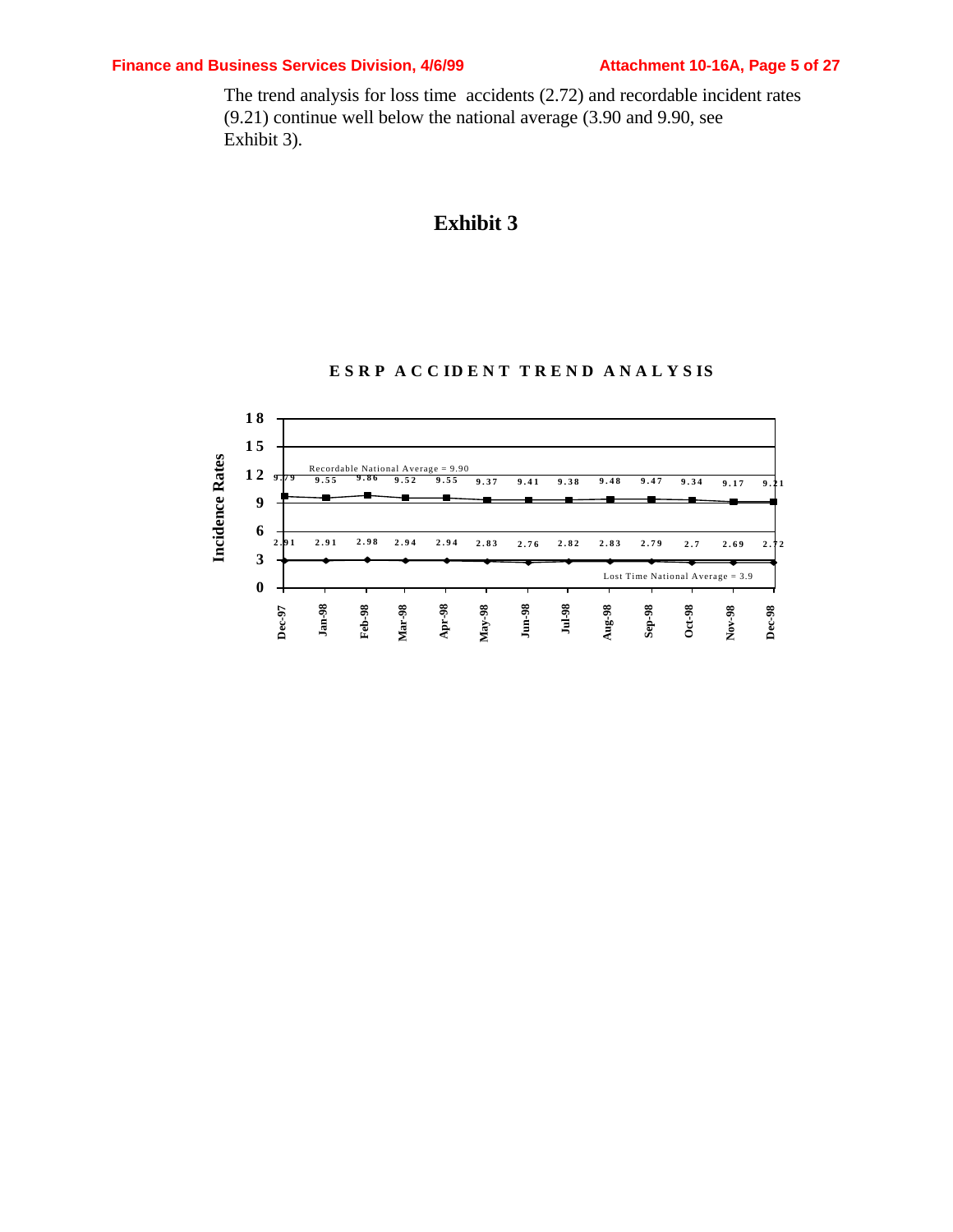### **Finance and Business Services Division, 4/6/99 Attachment 10-16A, Page 5 of 27**

The trend analysis for loss time accidents (2.72) and recordable incident rates (9.21) continue well below the national average (3.90 and 9.90, see Exhibit 3).

## **Exhibit 3**



#### **ESRP ACC IDENT TREND ANALYS IS**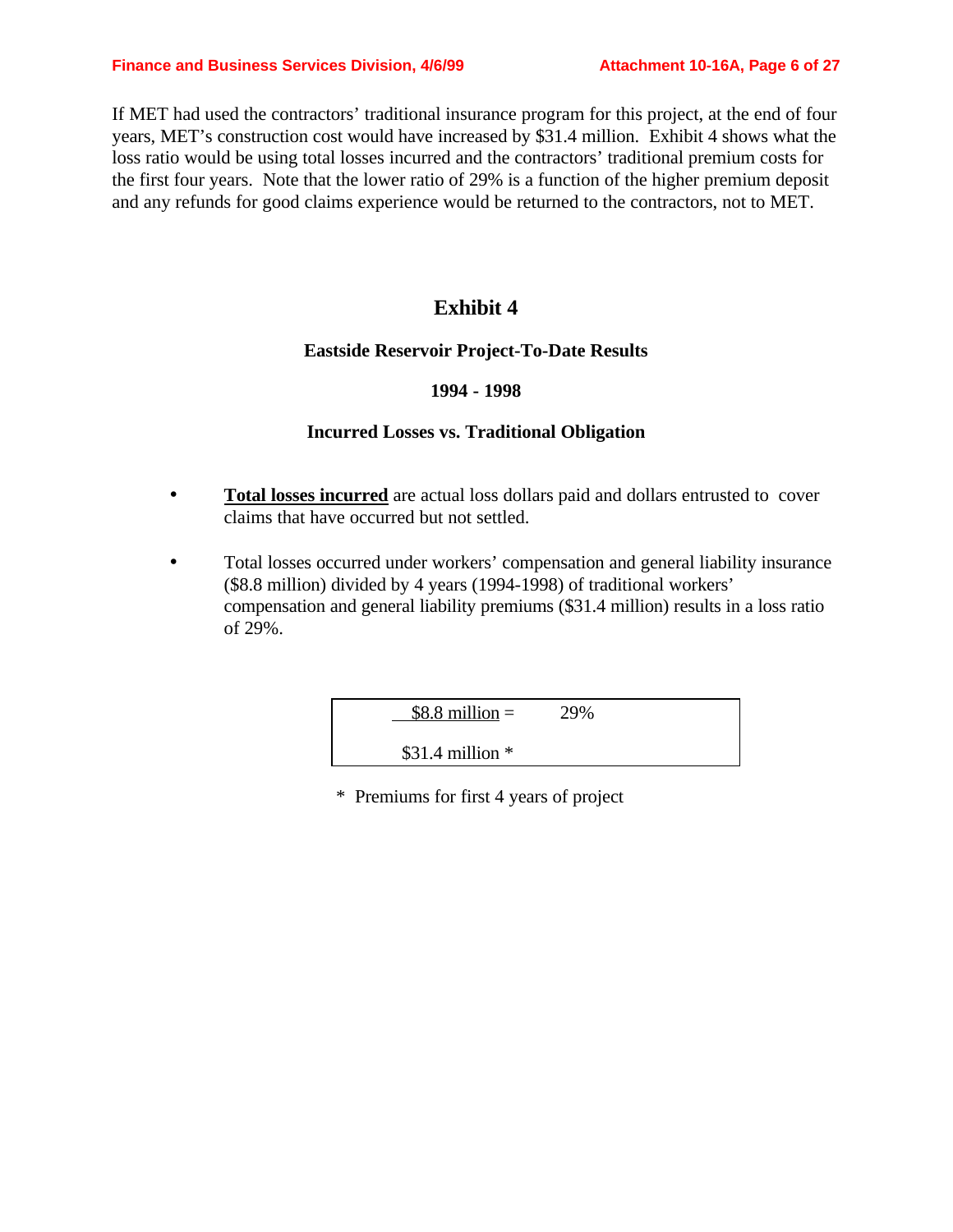If MET had used the contractors' traditional insurance program for this project, at the end of four years, MET's construction cost would have increased by \$31.4 million. Exhibit 4 shows what the loss ratio would be using total losses incurred and the contractors' traditional premium costs for the first four years. Note that the lower ratio of 29% is a function of the higher premium deposit and any refunds for good claims experience would be returned to the contractors, not to MET.

## **Exhibit 4**

### **Eastside Reservoir Project-To-Date Results**

#### **1994 - 1998**

### **Incurred Losses vs. Traditional Obligation**

- Total losses incurred are actual loss dollars paid and dollars entrusted to cover claims that have occurred but not settled.
- Total losses occurred under workers' compensation and general liability insurance (\$8.8 million) divided by 4 years (1994-1998) of traditional workers' compensation and general liability premiums (\$31.4 million) results in a loss ratio of 29%.

 $$8.8 \text{ million} = 29\%$ 

\$31.4 million \*

\* Premiums for first 4 years of project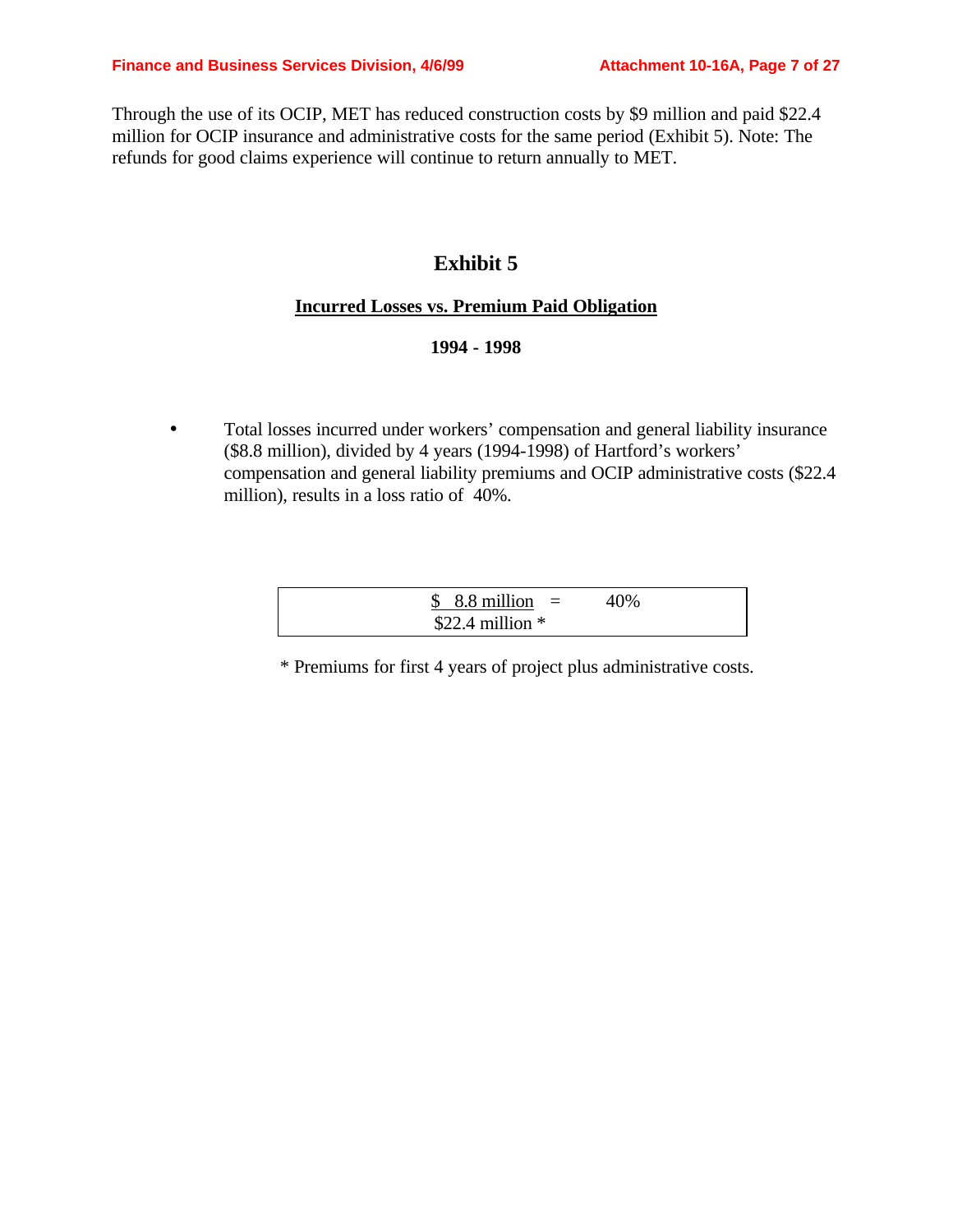Through the use of its OCIP, MET has reduced construction costs by \$9 million and paid \$22.4 million for OCIP insurance and administrative costs for the same period (Exhibit 5). Note: The refunds for good claims experience will continue to return annually to MET.

### **Exhibit 5**

#### **Incurred Losses vs. Premium Paid Obligation**

#### **1994 - 1998**

• Total losses incurred under workers' compensation and general liability insurance (\$8.8 million), divided by 4 years (1994-1998) of Hartford's workers' compensation and general liability premiums and OCIP administrative costs (\$22.4 million), results in a loss ratio of 40%.

| $$8.8$ million $=$ | 40% |
|--------------------|-----|
| \$22.4 million $*$ |     |

\* Premiums for first 4 years of project plus administrative costs.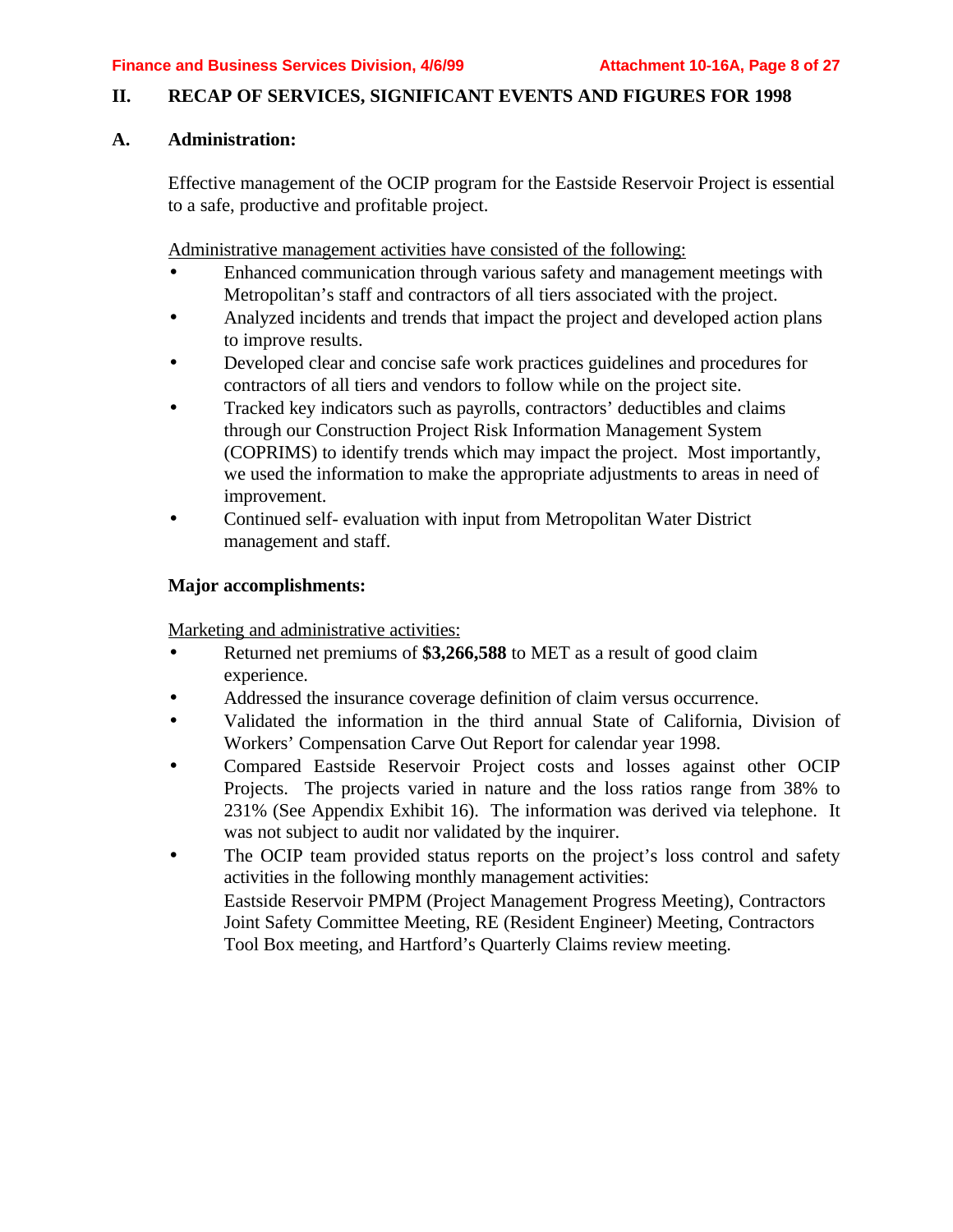#### **II. RECAP OF SERVICES, SIGNIFICANT EVENTS AND FIGURES FOR 1998**

### **A. Administration:**

Effective management of the OCIP program for the Eastside Reservoir Project is essential to a safe, productive and profitable project.

Administrative management activities have consisted of the following:

- Enhanced communication through various safety and management meetings with Metropolitan's staff and contractors of all tiers associated with the project.
- Analyzed incidents and trends that impact the project and developed action plans to improve results.
- Developed clear and concise safe work practices guidelines and procedures for contractors of all tiers and vendors to follow while on the project site.
- Tracked key indicators such as payrolls, contractors' deductibles and claims through our Construction Project Risk Information Management System (COPRIMS) to identify trends which may impact the project. Most importantly, we used the information to make the appropriate adjustments to areas in need of improvement.
- Continued self- evaluation with input from Metropolitan Water District management and staff.

#### **Major accomplishments:**

Marketing and administrative activities:

- Returned net premiums of \$3,266,588 to MET as a result of good claim experience.
- Addressed the insurance coverage definition of claim versus occurrence.
- Validated the information in the third annual State of California, Division of Workers' Compensation Carve Out Report for calendar year 1998.
- Compared Eastside Reservoir Project costs and losses against other OCIP Projects. The projects varied in nature and the loss ratios range from 38% to 231% (See Appendix Exhibit 16). The information was derived via telephone. It was not subject to audit nor validated by the inquirer.
- The OCIP team provided status reports on the project's loss control and safety activities in the following monthly management activities: Eastside Reservoir PMPM (Project Management Progress Meeting), Contractors Joint Safety Committee Meeting, RE (Resident Engineer) Meeting, Contractors Tool Box meeting, and Hartford's Quarterly Claims review meeting.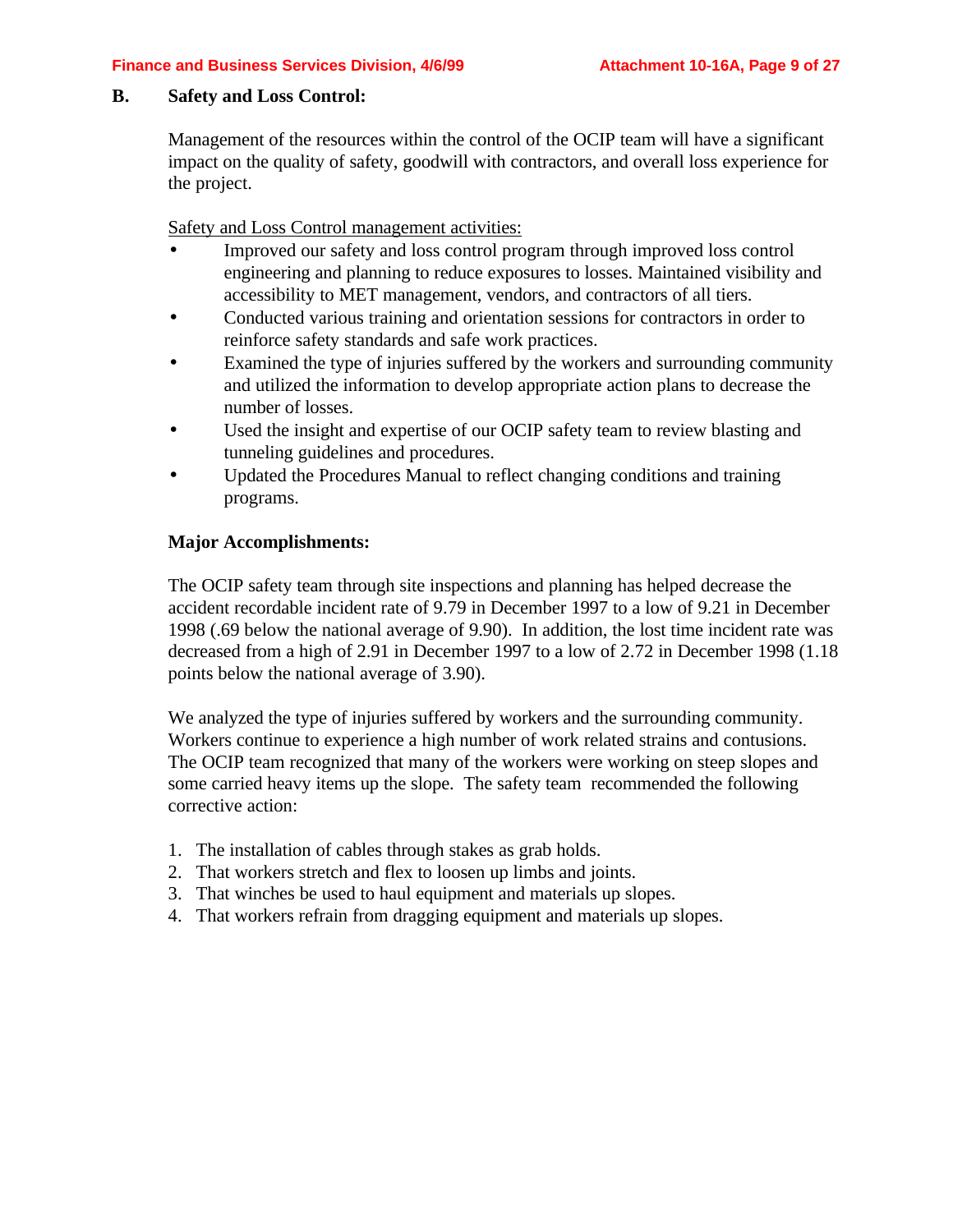#### **B. Safety and Loss Control:**

Management of the resources within the control of the OCIP team will have a significant impact on the quality of safety, goodwill with contractors, and overall loss experience for the project.

Safety and Loss Control management activities:

- Improved our safety and loss control program through improved loss control engineering and planning to reduce exposures to losses. Maintained visibility and accessibility to MET management, vendors, and contractors of all tiers.
- Conducted various training and orientation sessions for contractors in order to reinforce safety standards and safe work practices.
- Examined the type of injuries suffered by the workers and surrounding community and utilized the information to develop appropriate action plans to decrease the number of losses.
- Used the insight and expertise of our OCIP safety team to review blasting and tunneling guidelines and procedures.
- Updated the Procedures Manual to reflect changing conditions and training programs.

### **Major Accomplishments:**

The OCIP safety team through site inspections and planning has helped decrease the accident recordable incident rate of 9.79 in December 1997 to a low of 9.21 in December 1998 (.69 below the national average of 9.90). In addition, the lost time incident rate was decreased from a high of 2.91 in December 1997 to a low of 2.72 in December 1998 (1.18 points below the national average of 3.90).

We analyzed the type of injuries suffered by workers and the surrounding community. Workers continue to experience a high number of work related strains and contusions. The OCIP team recognized that many of the workers were working on steep slopes and some carried heavy items up the slope. The safety team recommended the following corrective action:

- 1. The installation of cables through stakes as grab holds.
- 2. That workers stretch and flex to loosen up limbs and joints.
- 3. That winches be used to haul equipment and materials up slopes.
- 4. That workers refrain from dragging equipment and materials up slopes.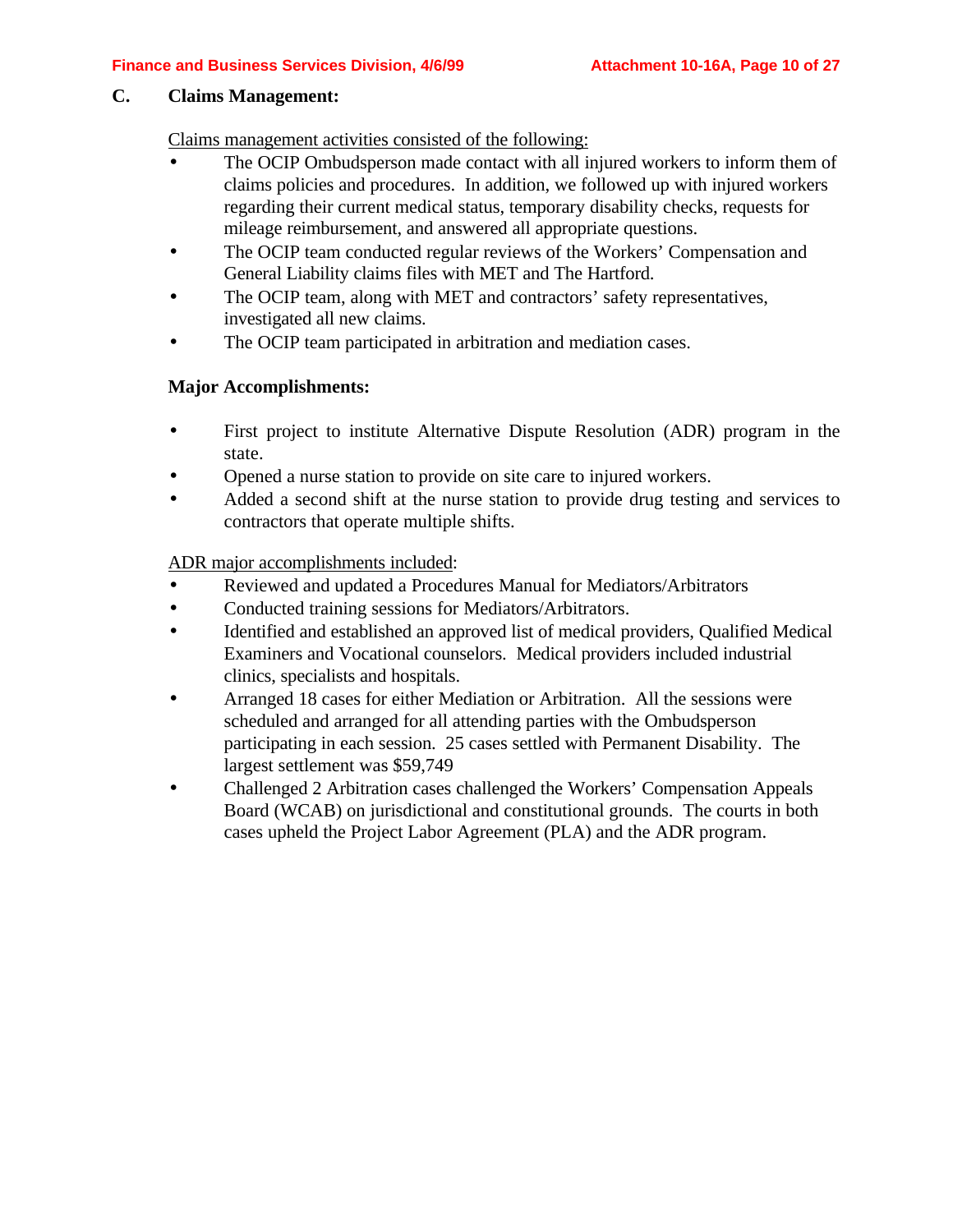#### **C. Claims Management:**

Claims management activities consisted of the following:

- The OCIP Ombudsperson made contact with all injured workers to inform them of claims policies and procedures. In addition, we followed up with injured workers regarding their current medical status, temporary disability checks, requests for mileage reimbursement, and answered all appropriate questions.
- The OCIP team conducted regular reviews of the Workers' Compensation and General Liability claims files with MET and The Hartford.
- The OCIP team, along with MET and contractors' safety representatives, investigated all new claims.
- The OCIP team participated in arbitration and mediation cases.

#### **Major Accomplishments:**

- First project to institute Alternative Dispute Resolution (ADR) program in the state.
- Opened a nurse station to provide on site care to injured workers.
- Added a second shift at the nurse station to provide drug testing and services to contractors that operate multiple shifts.

ADR major accomplishments included:

- Reviewed and updated a Procedures Manual for Mediators/Arbitrators
- Conducted training sessions for Mediators/Arbitrators.
- Identified and established an approved list of medical providers, Qualified Medical Examiners and Vocational counselors. Medical providers included industrial clinics, specialists and hospitals.
- Arranged 18 cases for either Mediation or Arbitration. All the sessions were scheduled and arranged for all attending parties with the Ombudsperson participating in each session. 25 cases settled with Permanent Disability. The largest settlement was \$59,749
- Challenged 2 Arbitration cases challenged the Workers' Compensation Appeals Board (WCAB) on jurisdictional and constitutional grounds. The courts in both cases upheld the Project Labor Agreement (PLA) and the ADR program.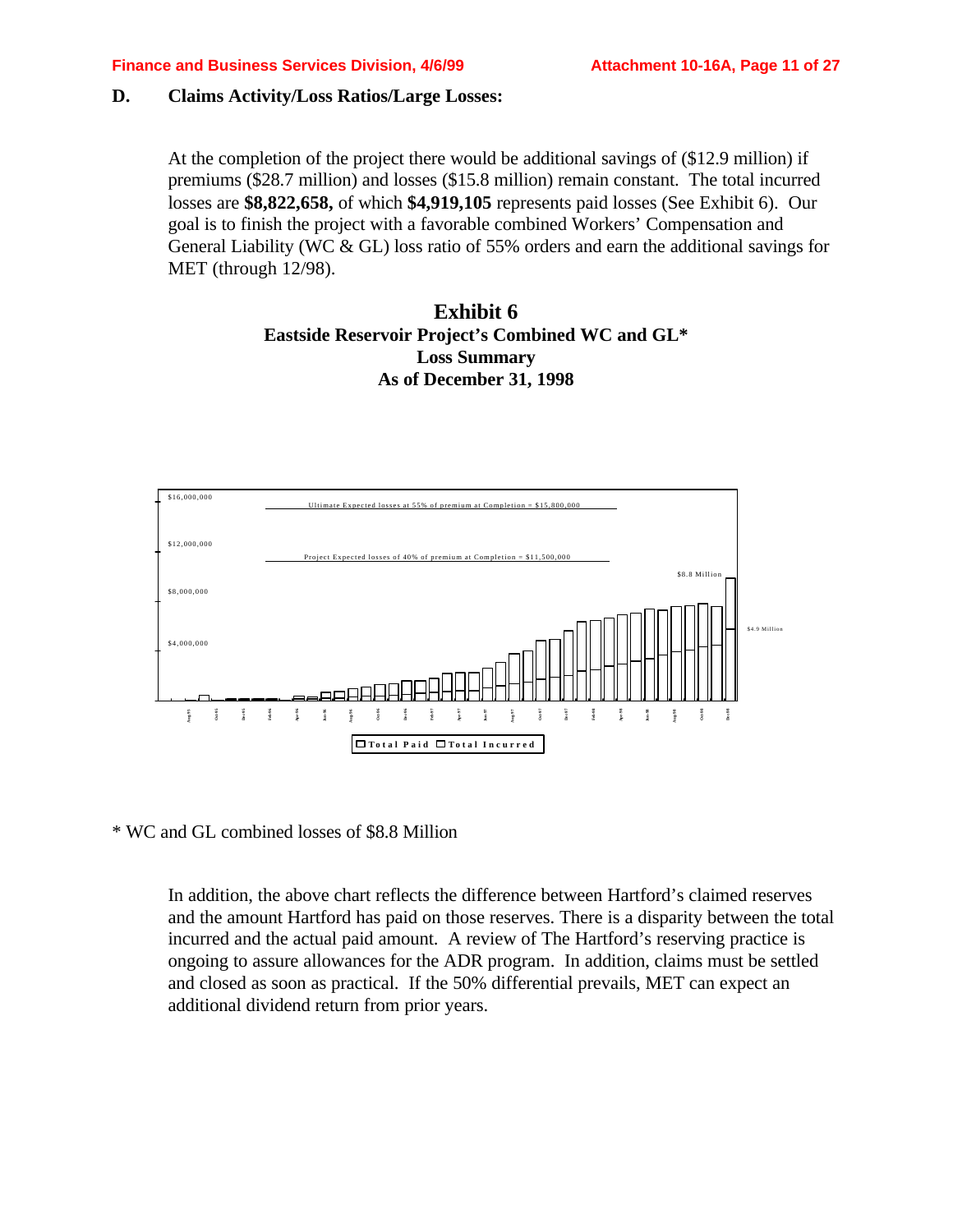#### **D. Claims Activity/Loss Ratios/Large Losses:**

At the completion of the project there would be additional savings of (\$12.9 million) if premiums (\$28.7 million) and losses (\$15.8 million) remain constant. The total incurred losses are **\$8,822,658,** of which **\$4,919,105** represents paid losses (See Exhibit 6). Our goal is to finish the project with a favorable combined Workers' Compensation and General Liability (WC & GL) loss ratio of 55% orders and earn the additional savings for MET (through 12/98).

### **Exhibit 6 Eastside Reservoir Project's Combined WC and GL\* Loss Summary As of December 31, 1998**



\* WC and GL combined losses of \$8.8 Million

In addition, the above chart reflects the difference between Hartford's claimed reserves and the amount Hartford has paid on those reserves. There is a disparity between the total incurred and the actual paid amount. A review of The Hartford's reserving practice is ongoing to assure allowances for the ADR program. In addition, claims must be settled and closed as soon as practical. If the 50% differential prevails, MET can expect an addition, the above chart reflects the different return from prior years. In addition, the above chart reflects the different and the annunt Hartford has paid on those incurred and the actual paid amount. A rev ongoing to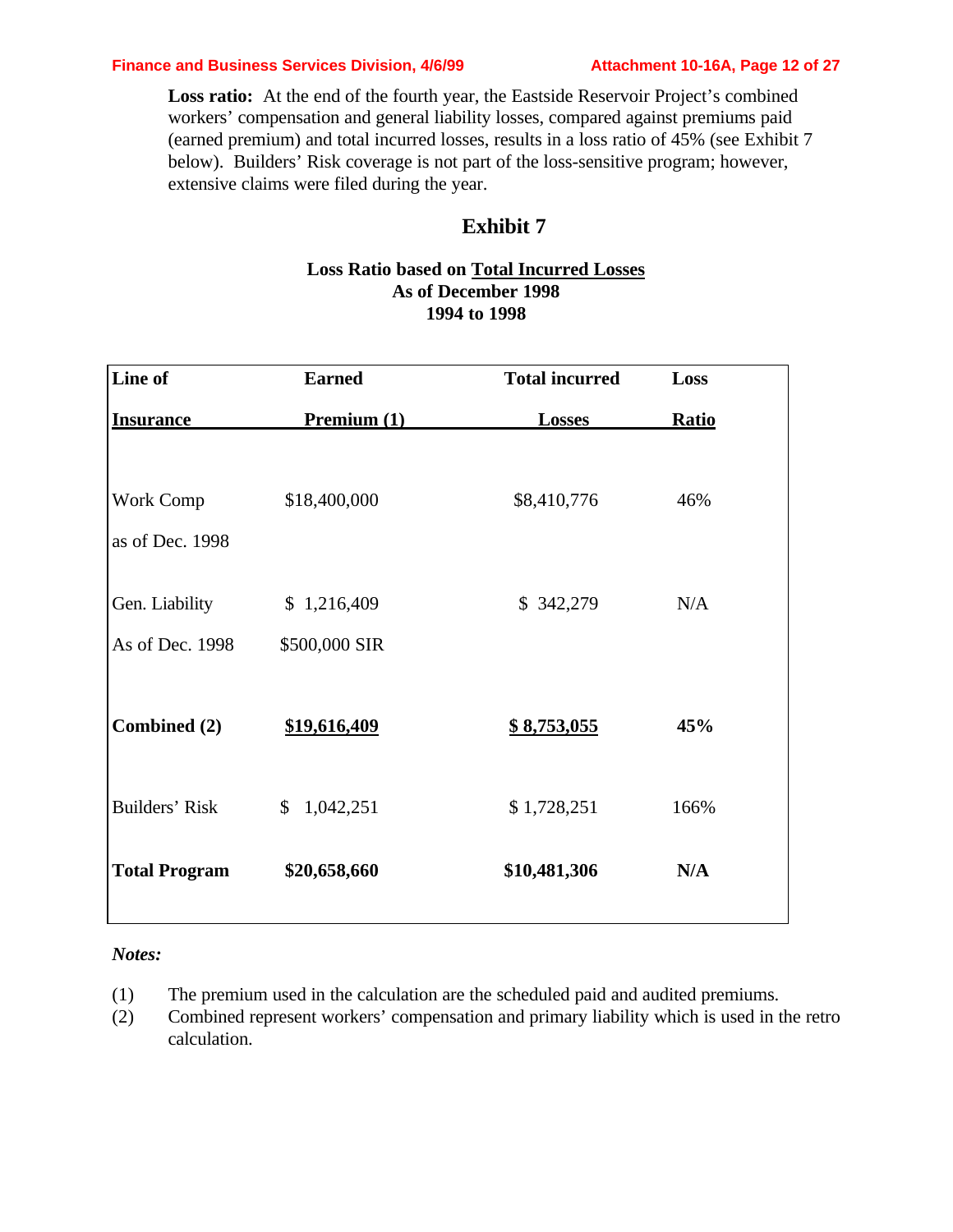#### **Finance and Business Services Division, 4/6/99 Attachment 10-16A, Page 12 of 27**

Loss ratio: At the end of the fourth year, the Eastside Reservoir Project's combined workers' compensation and general liability losses, compared against premiums paid (earned premium) and total incurred losses, results in a loss ratio of 45% (see Exhibit 7 below). Builders' Risk coverage is not part of the loss-sensitive program; however, extensive claims were filed during the year.

### **Exhibit 7**

#### **Loss Ratio based on Total Incurred Losses As of December 1998 1994 to 1998**

| Line of              | <b>Earned</b>             | <b>Total incurred</b> | Loss         |
|----------------------|---------------------------|-----------------------|--------------|
| <b>Insurance</b>     | Premium (1)               | <b>Losses</b>         | <b>Ratio</b> |
|                      |                           |                       |              |
| Work Comp            | \$18,400,000              | \$8,410,776           | 46%          |
| as of Dec. 1998      |                           |                       |              |
| Gen. Liability       | \$1,216,409               | \$342,279             | N/A          |
| As of Dec. 1998      | \$500,000 SIR             |                       |              |
|                      |                           |                       |              |
| Combined (2)         | \$19,616,409              | <u>\$8,753,055</u>    | 45%          |
| Builders' Risk       | 1,042,251<br>$\mathbb{S}$ | \$1,728,251           | 166%         |
| <b>Total Program</b> | \$20,658,660              | \$10,481,306          | N/A          |

#### *Notes:*

- (1) The premium used in the calculation are the scheduled paid and audited premiums.
- (2) Combined represent workers' compensation and primary liability which is used in the retro calculation.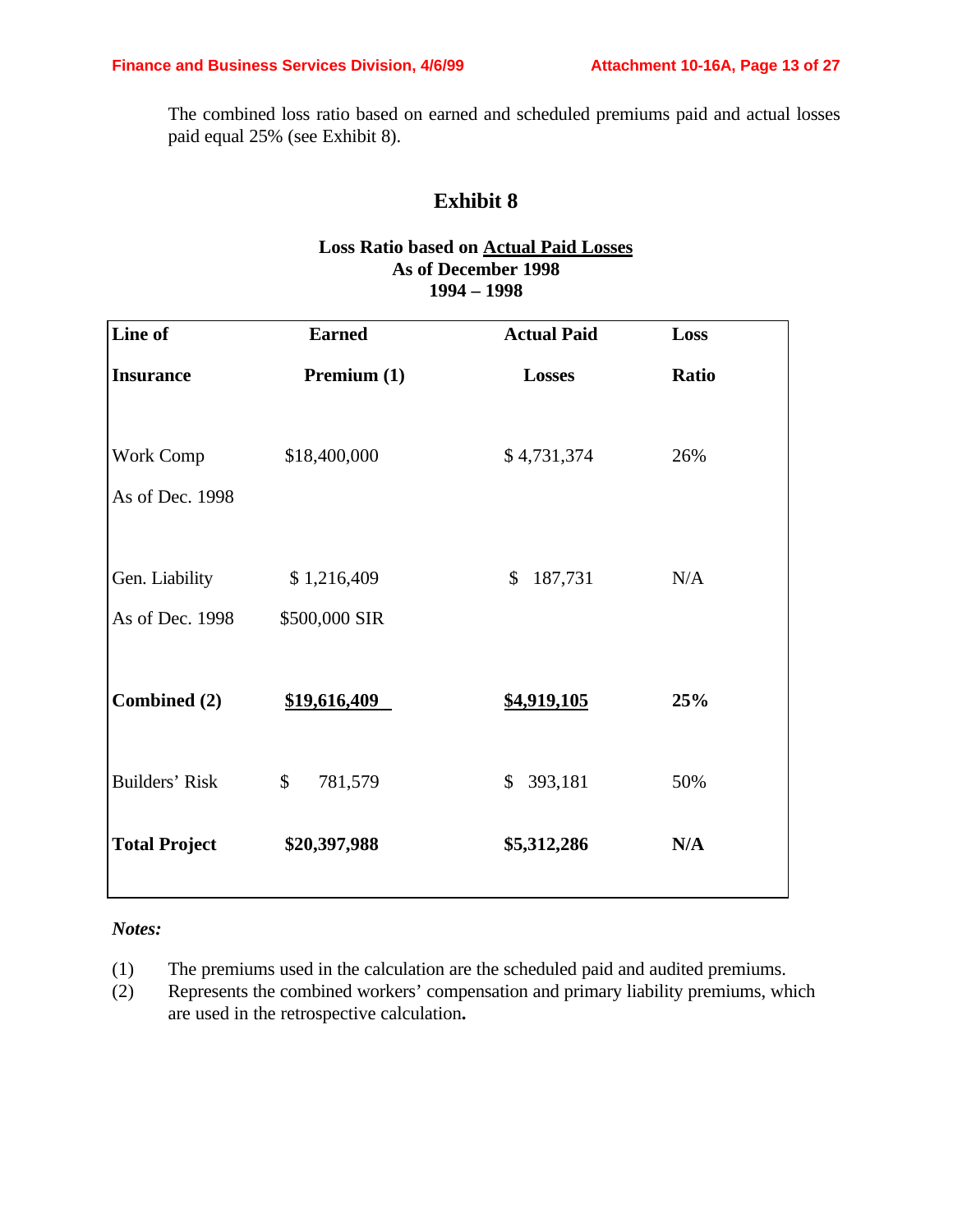The combined loss ratio based on earned and scheduled premiums paid and actual losses paid equal 25% (see Exhibit 8).

## **Exhibit 8**

#### **Loss Ratio based on Actual Paid Losses As of December 1998 1994 – 1998**

| Line of               | <b>Earned</b> | <b>Actual Paid</b> | Loss  |
|-----------------------|---------------|--------------------|-------|
| <b>Insurance</b>      | Premium (1)   | <b>Losses</b>      | Ratio |
|                       |               |                    |       |
| Work Comp             | \$18,400,000  | \$4,731,374        | 26%   |
| As of Dec. 1998       |               |                    |       |
|                       |               |                    |       |
| Gen. Liability        | \$1,216,409   | 187,731<br>\$      | N/A   |
| As of Dec. 1998       | \$500,000 SIR |                    |       |
|                       |               |                    |       |
| Combined (2)          | \$19,616,409  | \$4,919,105        | 25%   |
|                       |               |                    |       |
| <b>Builders' Risk</b> | \$<br>781,579 | 393,181<br>\$      | 50%   |
|                       |               |                    |       |
| <b>Total Project</b>  | \$20,397,988  | \$5,312,286        | N/A   |
|                       |               |                    |       |

### *Notes:*

- (1) The premiums used in the calculation are the scheduled paid and audited premiums.
- (2) Represents the combined workers' compensation and primary liability premiums, which are used in the retrospective calculation**.**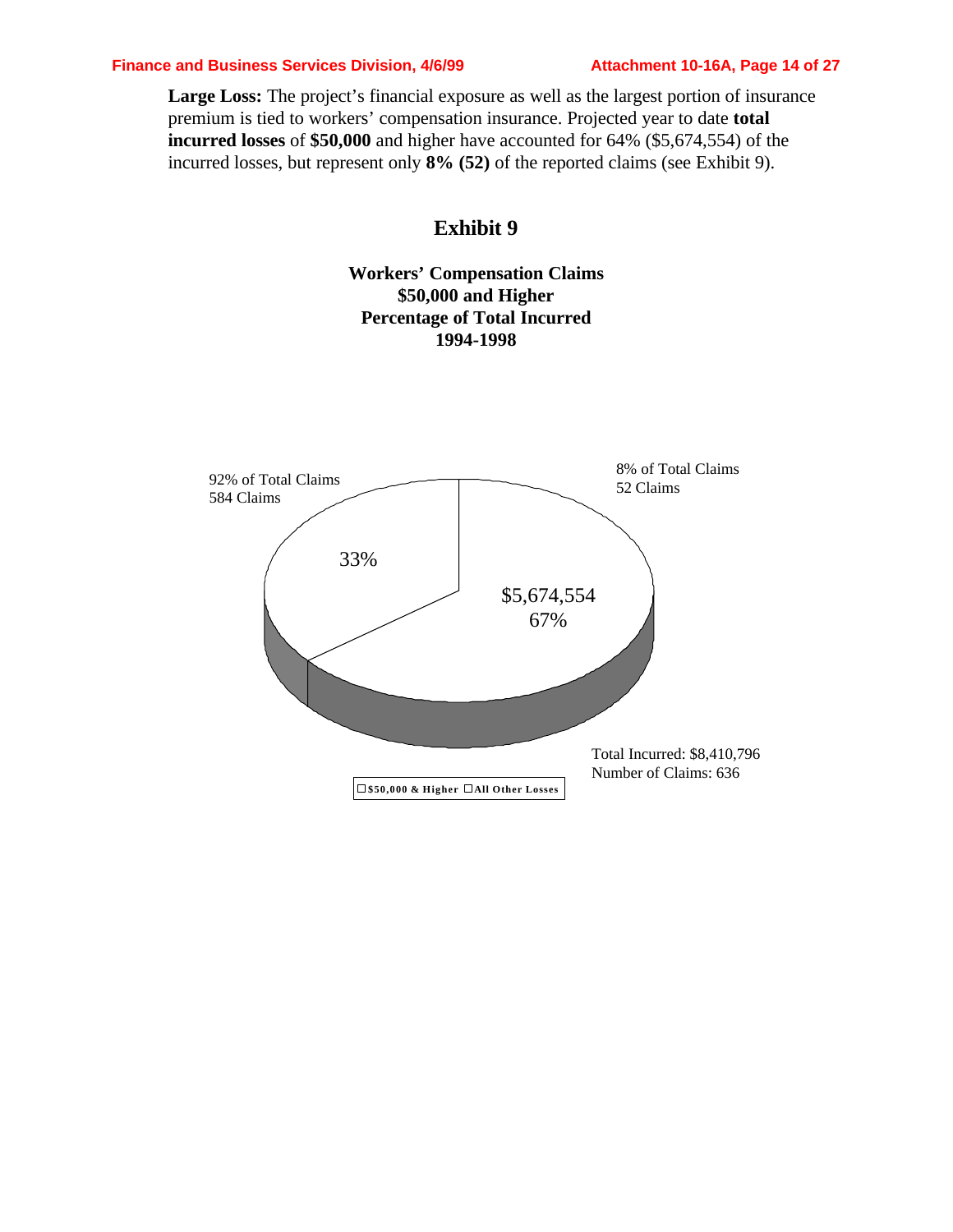#### **Finance and Business Services Division, 4/6/99 Attachment 10-16A, Page 14 of 27**

Large Loss: The project's financial exposure as well as the largest portion of insurance premium is tied to workers' compensation insurance. Projected year to date **total incurred losses** of **\$50,000** and higher have accounted for 64% (\$5,674,554) of the incurred losses, but represent only **8% (52)** of the reported claims (see Exhibit 9).

### **Exhibit 9**

**Workers' Compensation Claims \$50,000 and Higher Percentage of Total Incurred 1994-1998**

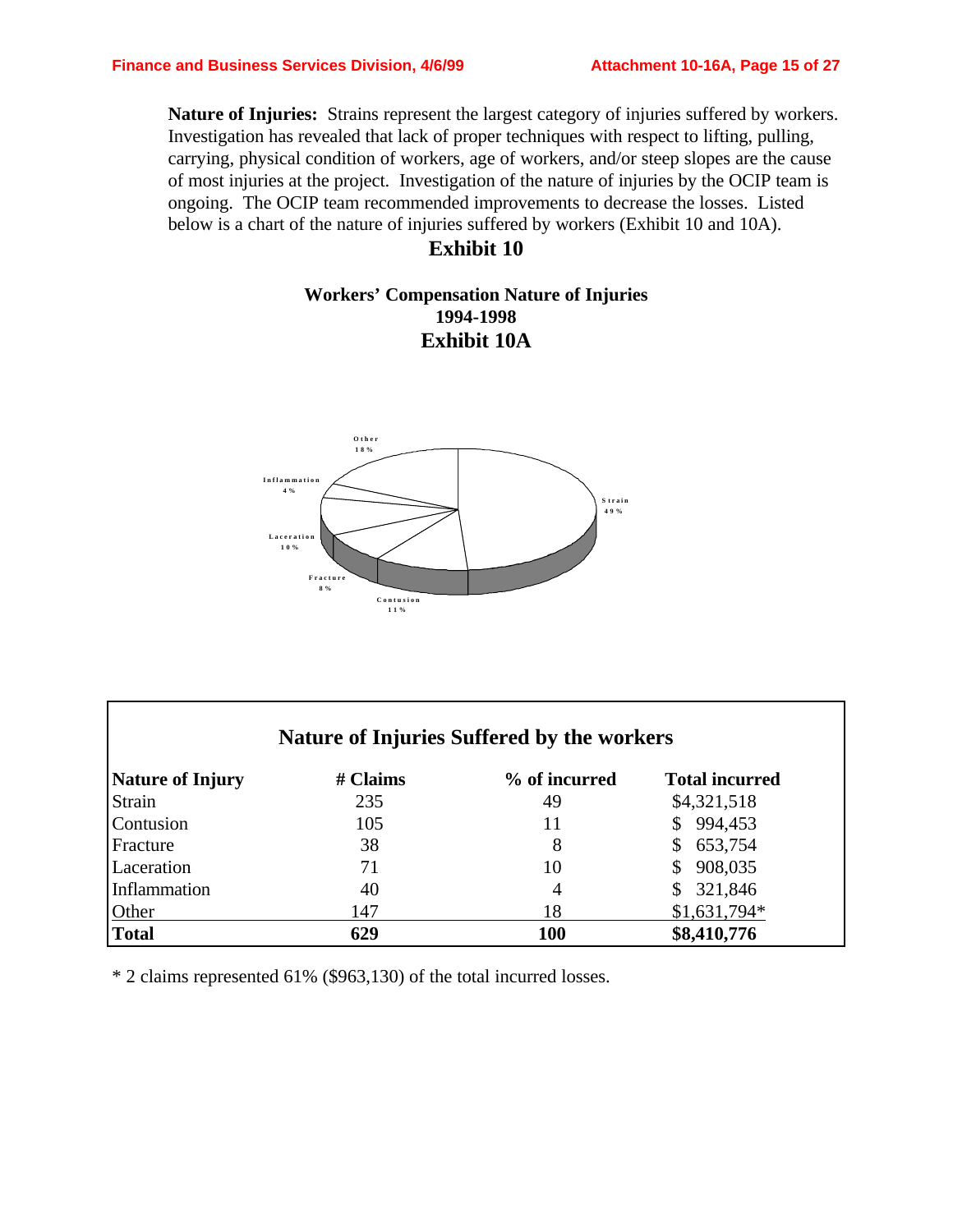**Nature of Injuries:** Strains represent the largest category of injuries suffered by workers. Investigation has revealed that lack of proper techniques with respect to lifting, pulling, carrying, physical condition of workers, age of workers, and/or steep slopes are the cause of most injuries at the project. Investigation of the nature of injuries by the OCIP team is ongoing. The OCIP team recommended improvements to decrease the losses. Listed below is a chart of the nature of injuries suffered by workers (Exhibit 10 and 10A).

### **Exhibit 10**

### **Workers' Compensation Nature of Injuries 1994-1998 Exhibit 10A**



| Nature of Injuries Suffered by the workers |                           |               |                       |  |  |  |  |
|--------------------------------------------|---------------------------|---------------|-----------------------|--|--|--|--|
| <b>Nature of Injury</b>                    | # Claims                  | % of incurred | <b>Total incurred</b> |  |  |  |  |
| Strain                                     | 235                       | 49            | \$4,321,518           |  |  |  |  |
| Contusion                                  | 105                       | 11            | 994,453               |  |  |  |  |
| Fracture                                   | 38                        | 8             | 653,754<br>S          |  |  |  |  |
| Laceration                                 | 71                        | 10            | 908,035               |  |  |  |  |
| Inflammation                               | 40                        | 4             | 321,846               |  |  |  |  |
| Other                                      | 147                       | 18            | $$1,631,794*$         |  |  |  |  |
| <b>Total</b>                               | \$8,410,776<br>629<br>100 |               |                       |  |  |  |  |

\* 2 claims represented 61% (\$963,130) of the total incurred losses.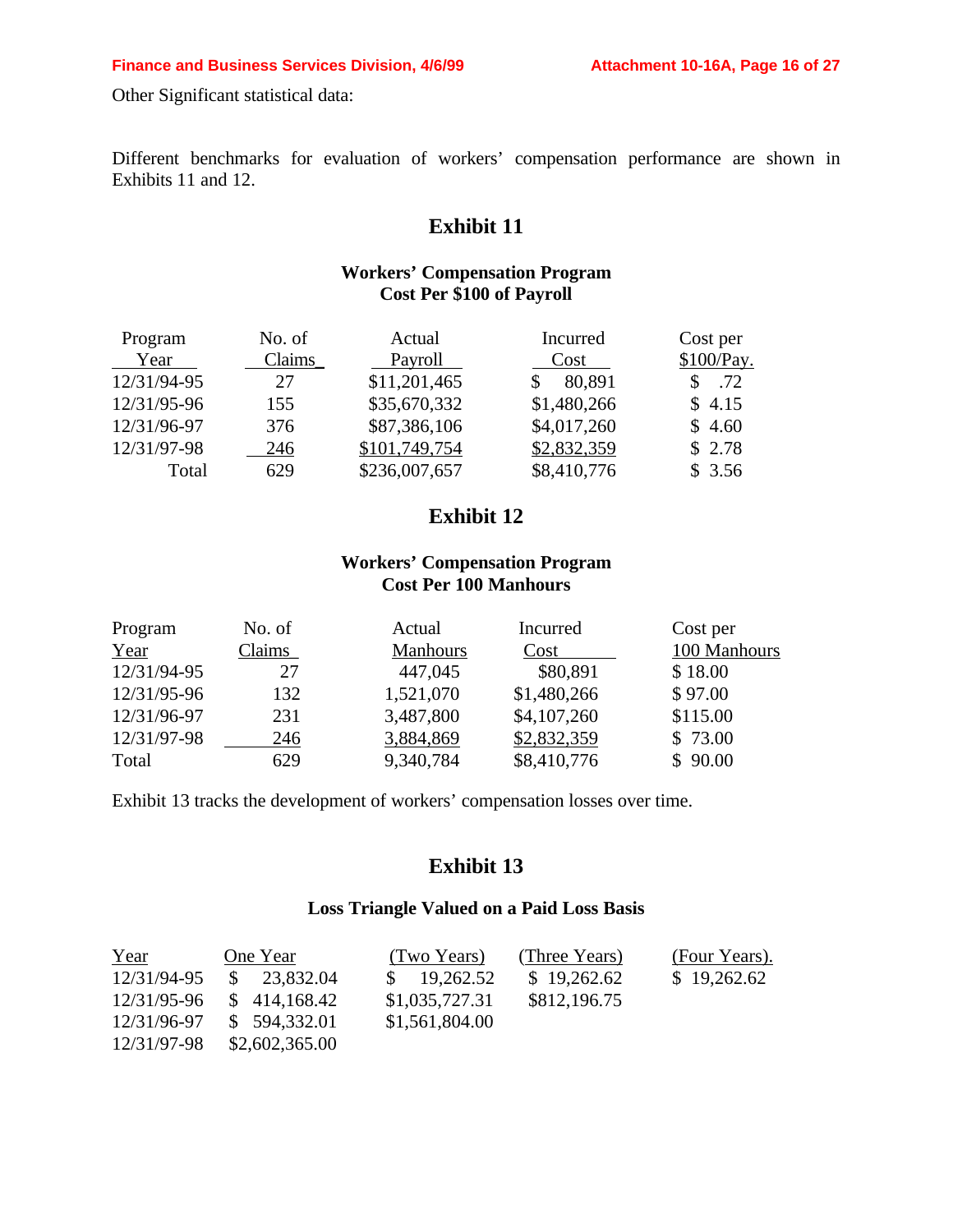Other Significant statistical data:

Different benchmarks for evaluation of workers' compensation performance are shown in Exhibits 11 and 12.

## **Exhibit 11**

### **Workers' Compensation Program Cost Per \$100 of Payroll**

| Program     | No. of | Actual        | Incurred    | Cost per   |
|-------------|--------|---------------|-------------|------------|
| Year        | Claims | Payroll       | Cost        | \$100/Pay. |
| 12/31/94-95 | 27     | \$11,201,465  | 80,891      | .72        |
| 12/31/95-96 | 155    | \$35,670,332  | \$1,480,266 | \$4.15     |
| 12/31/96-97 | 376    | \$87,386,106  | \$4,017,260 | \$4.60     |
| 12/31/97-98 | 246    | \$101,749,754 | \$2,832,359 | \$2.78     |
| Total       | 629    | \$236,007,657 | \$8,410,776 | \$3.56     |

## **Exhibit 12**

### **Workers' Compensation Program Cost Per 100 Manhours**

| Program     | No. of | Actual          | Incurred    | Cost per     |
|-------------|--------|-----------------|-------------|--------------|
| Year        | Claims | <b>Manhours</b> | Cost        | 100 Manhours |
| 12/31/94-95 | 27     | 447,045         | \$80,891    | \$18.00      |
| 12/31/95-96 | 132    | 1,521,070       | \$1,480,266 | \$97.00      |
| 12/31/96-97 | 231    | 3,487,800       | \$4,107,260 | \$115.00     |
| 12/31/97-98 | 246    | 3,884,869       | \$2,832,359 | \$73.00      |
| Total       | 629    | 9,340,784       | \$8,410,776 | \$90.00      |

Exhibit 13 tracks the development of workers' compensation losses over time.

### **Exhibit 13**

#### **Loss Triangle Valued on a Paid Loss Basis**

| Year        | One Year       | (Two Years)            | (Three Years) | (Four Years). |
|-------------|----------------|------------------------|---------------|---------------|
| 12/31/94-95 | \$23,832.04    | $\frac{\$}{19,262.52}$ | \$19,262.62   | \$19,262.62   |
| 12/31/95-96 | \$414,168.42   | \$1,035,727.31         | \$812,196.75  |               |
| 12/31/96-97 | \$594,332.01   | \$1,561,804.00         |               |               |
| 12/31/97-98 | \$2,602,365.00 |                        |               |               |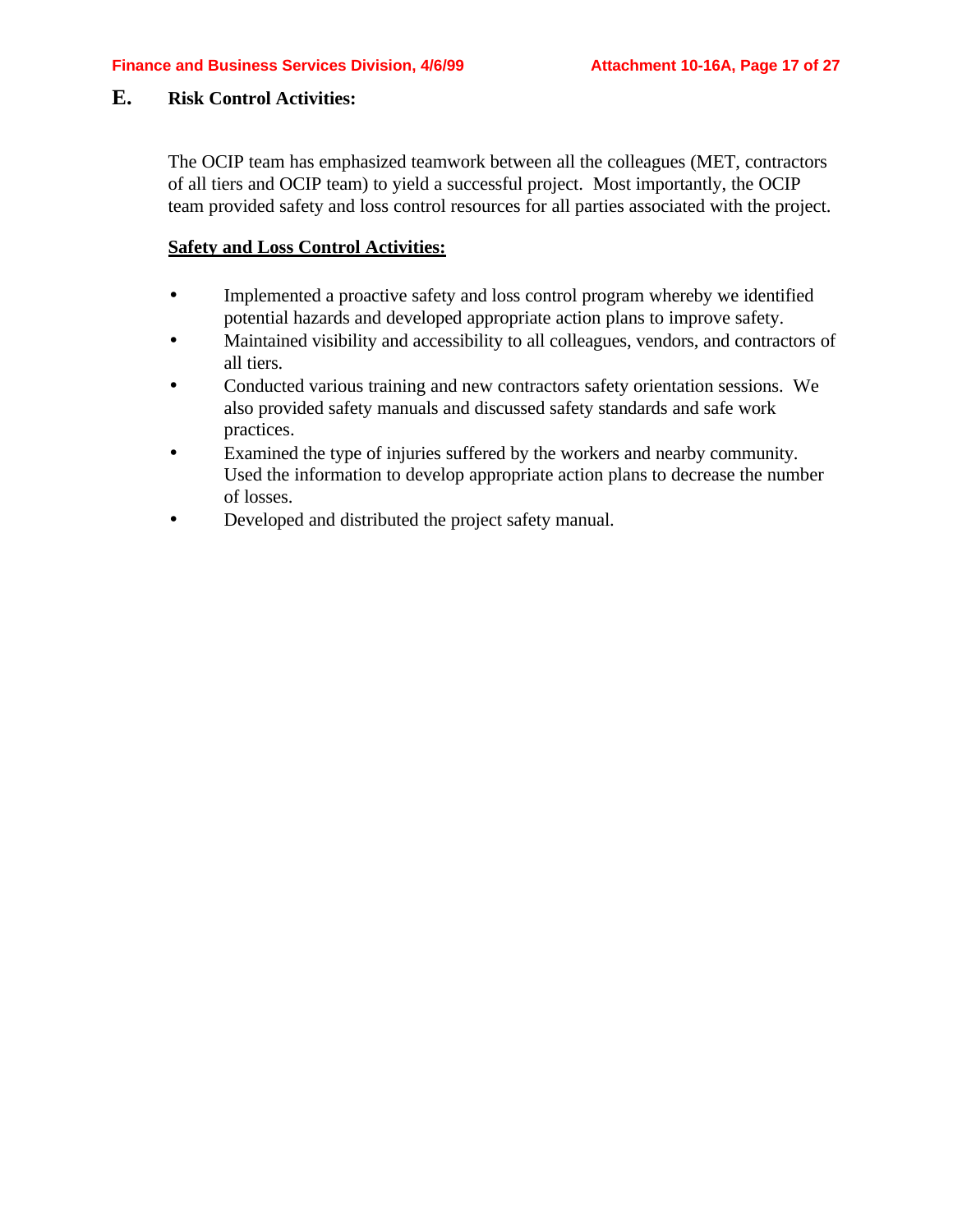### **E. Risk Control Activities:**

The OCIP team has emphasized teamwork between all the colleagues (MET, contractors of all tiers and OCIP team) to yield a successful project. Most importantly, the OCIP team provided safety and loss control resources for all parties associated with the project.

#### **Safety and Loss Control Activities:**

- Implemented a proactive safety and loss control program whereby we identified potential hazards and developed appropriate action plans to improve safety.
- Maintained visibility and accessibility to all colleagues, vendors, and contractors of all tiers.
- Conducted various training and new contractors safety orientation sessions. We also provided safety manuals and discussed safety standards and safe work practices.
- Examined the type of injuries suffered by the workers and nearby community. Used the information to develop appropriate action plans to decrease the number of losses.
- Developed and distributed the project safety manual.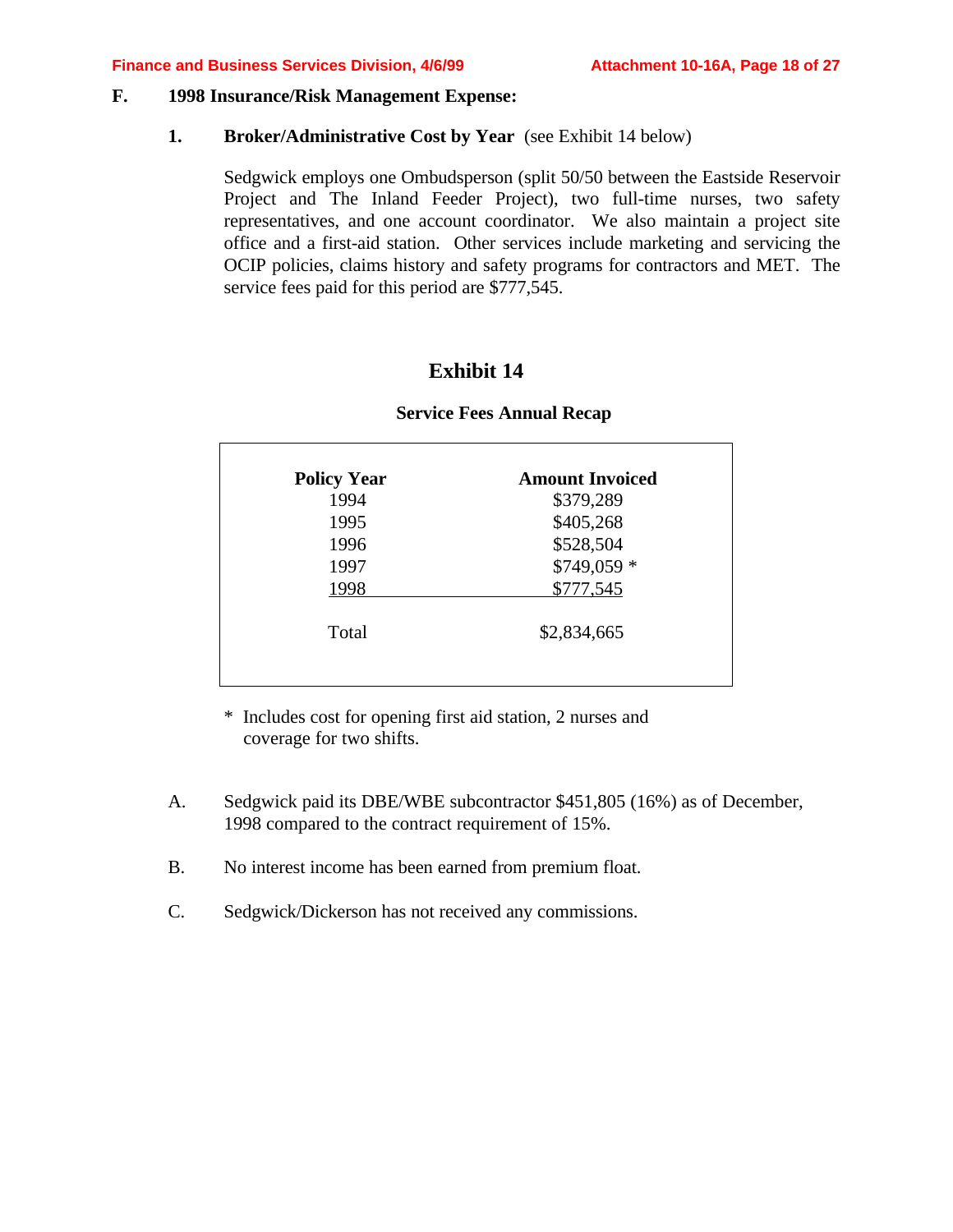#### **F. 1998 Insurance/Risk Management Expense:**

#### **1. Broker/Administrative Cost by Year** (see Exhibit 14 below)

Sedgwick employs one Ombudsperson (split 50/50 between the Eastside Reservoir Project and The Inland Feeder Project), two full-time nurses, two safety representatives, and one account coordinator. We also maintain a project site office and a first-aid station. Other services include marketing and servicing the OCIP policies, claims history and safety programs for contractors and MET. The service fees paid for this period are \$777,545.

### **Exhibit 14**

| <b>Policy Year</b> | <b>Amount Invoiced</b> |
|--------------------|------------------------|
| 1994               | \$379,289              |
| 1995               | \$405,268              |
| 1996               | \$528,504              |
| 1997               | \$749,059 *            |
| 1998               | \$777,545              |
| Total              | \$2,834,665            |

#### **Service Fees Annual Recap**

\* Includes cost for opening first aid station, 2 nurses and coverage for two shifts.

- A. Sedgwick paid its DBE/WBE subcontractor \$451,805 (16%) as of December, 1998 compared to the contract requirement of 15%.
- B. No interest income has been earned from premium float.
- C. Sedgwick/Dickerson has not received any commissions.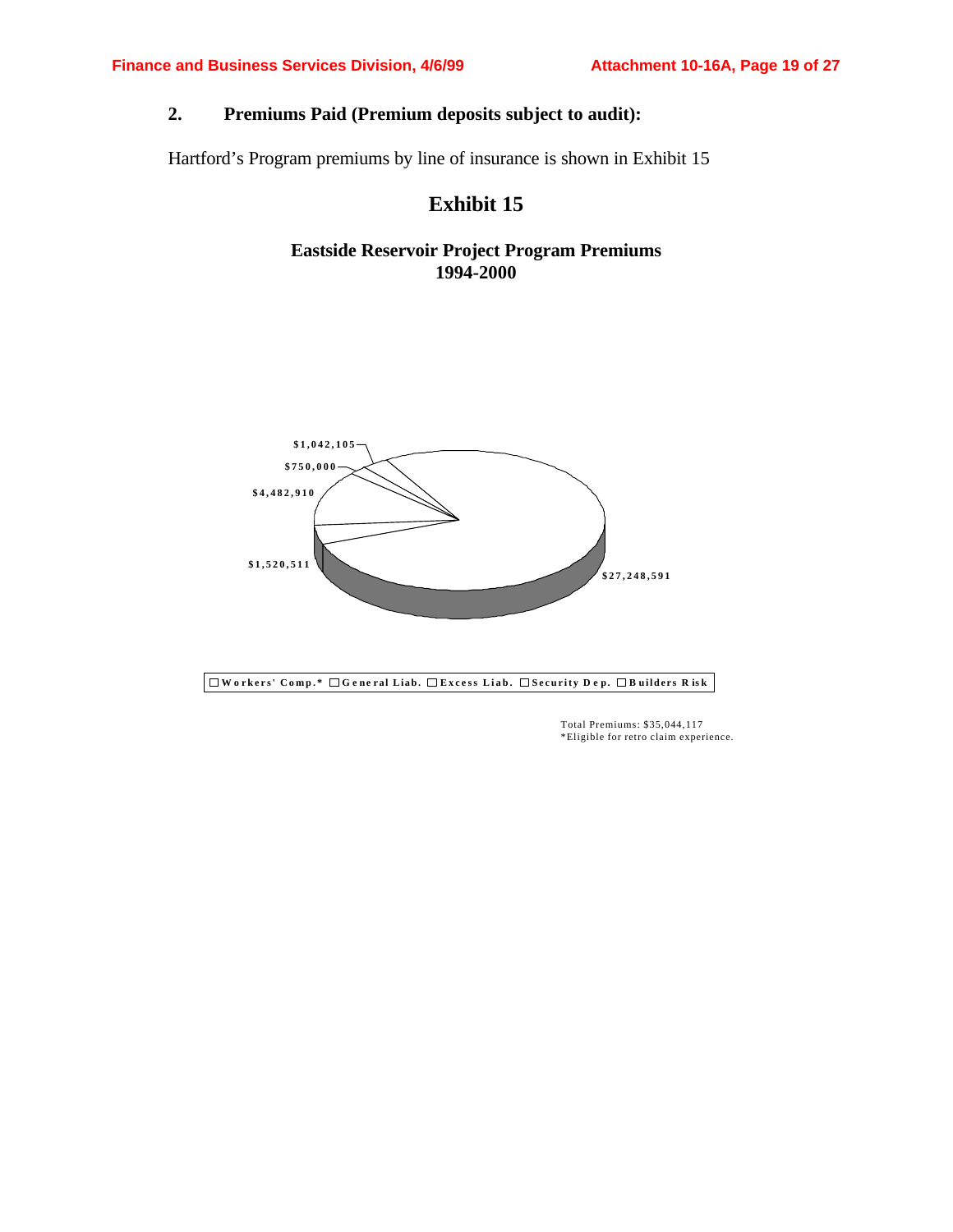### **2. Premiums Paid (Premium deposits subject to audit):**

Hartford's Program premiums by line of insurance is shown in Exhibit 15

### **Exhibit 15**

### **Eastside Reservoir Project Program Premiums 1994-2000**



**W o rkers' Comp.\* G e ne ral Liab. Excess Liab. Security D e p. B uilders R is k**

Total Premiums: \$35,044,117 \*Eligible for retro claim experience.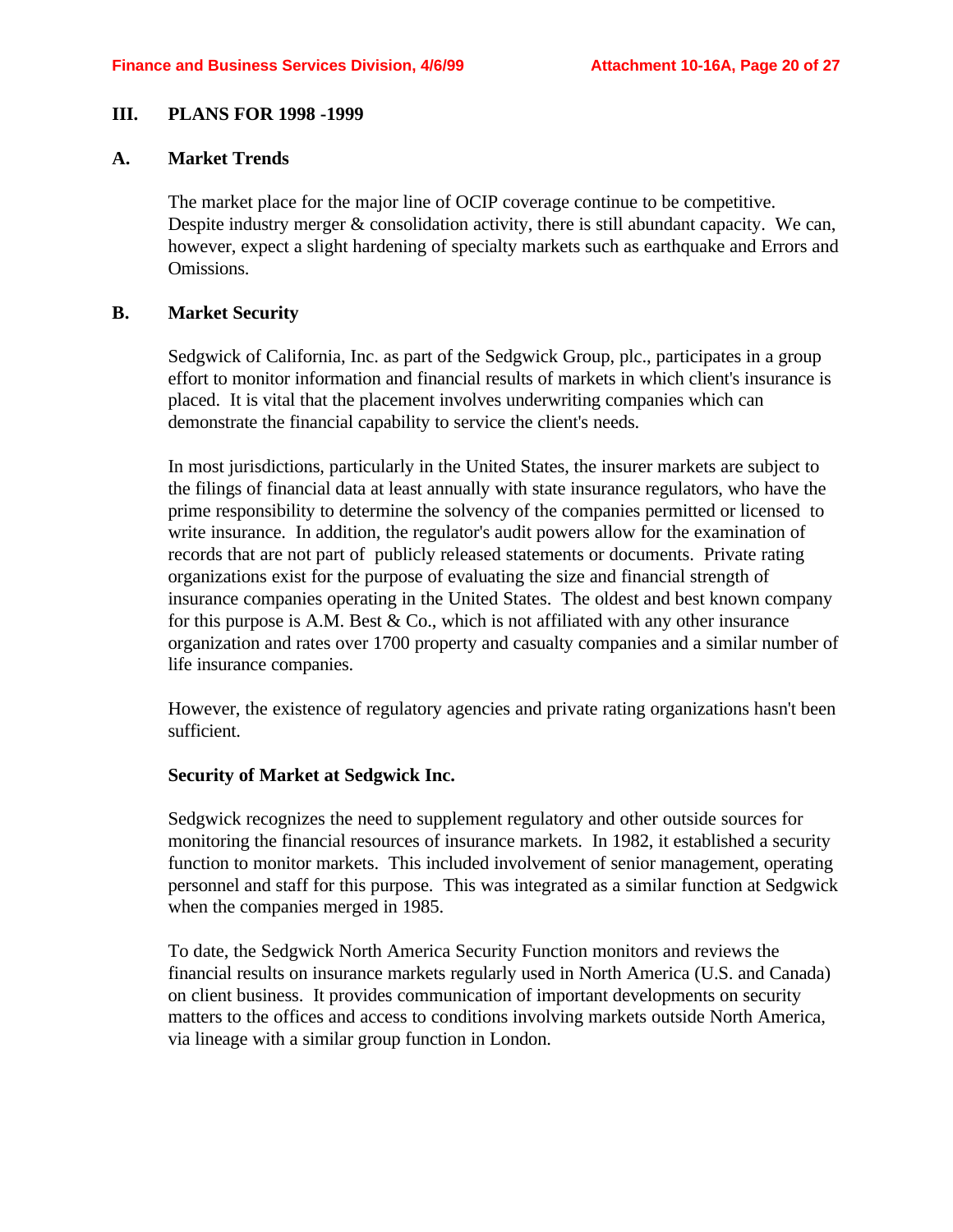#### **III. PLANS FOR 1998 -1999**

#### **A. Market Trends**

The market place for the major line of OCIP coverage continue to be competitive. Despite industry merger  $&$  consolidation activity, there is still abundant capacity. We can, however, expect a slight hardening of specialty markets such as earthquake and Errors and Omissions.

#### **B. Market Security**

Sedgwick of California, Inc. as part of the Sedgwick Group, plc., participates in a group effort to monitor information and financial results of markets in which client's insurance is placed. It is vital that the placement involves underwriting companies which can demonstrate the financial capability to service the client's needs.

In most jurisdictions, particularly in the United States, the insurer markets are subject to the filings of financial data at least annually with state insurance regulators, who have the prime responsibility to determine the solvency of the companies permitted or licensed to write insurance. In addition, the regulator's audit powers allow for the examination of records that are not part of publicly released statements or documents. Private rating organizations exist for the purpose of evaluating the size and financial strength of insurance companies operating in the United States. The oldest and best known company for this purpose is A.M. Best  $& Co.,$  which is not affiliated with any other insurance organization and rates over 1700 property and casualty companies and a similar number of life insurance companies.

However, the existence of regulatory agencies and private rating organizations hasn't been sufficient.

#### **Security of Market at Sedgwick Inc.**

Sedgwick recognizes the need to supplement regulatory and other outside sources for monitoring the financial resources of insurance markets. In 1982, it established a security function to monitor markets. This included involvement of senior management, operating personnel and staff for this purpose. This was integrated as a similar function at Sedgwick when the companies merged in 1985.

To date, the Sedgwick North America Security Function monitors and reviews the financial results on insurance markets regularly used in North America (U.S. and Canada) on client business. It provides communication of important developments on security matters to the offices and access to conditions involving markets outside North America, via lineage with a similar group function in London.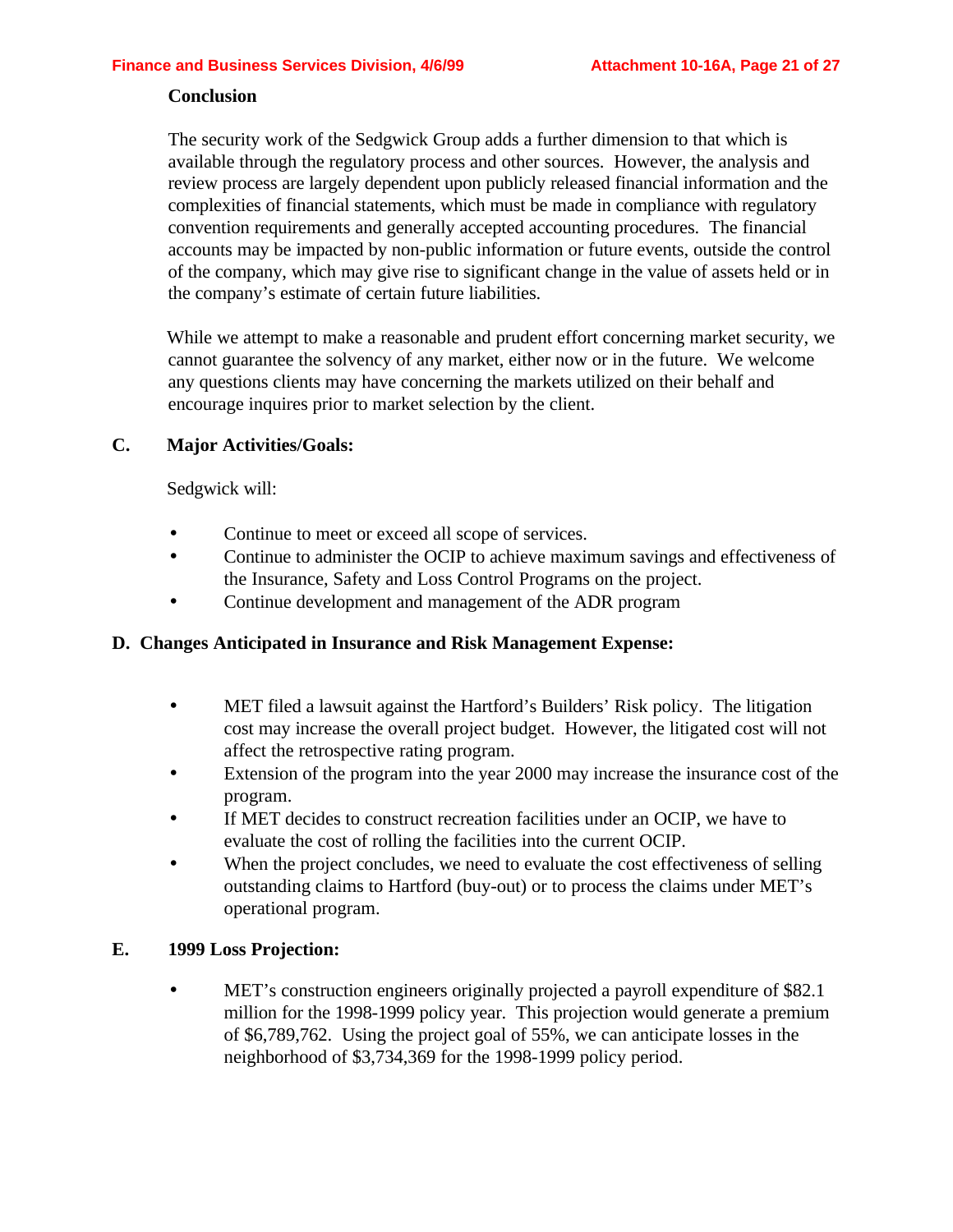#### **Conclusion**

The security work of the Sedgwick Group adds a further dimension to that which is available through the regulatory process and other sources. However, the analysis and review process are largely dependent upon publicly released financial information and the complexities of financial statements, which must be made in compliance with regulatory convention requirements and generally accepted accounting procedures. The financial accounts may be impacted by non-public information or future events, outside the control of the company, which may give rise to significant change in the value of assets held or in the company's estimate of certain future liabilities.

While we attempt to make a reasonable and prudent effort concerning market security, we cannot guarantee the solvency of any market, either now or in the future. We welcome any questions clients may have concerning the markets utilized on their behalf and encourage inquires prior to market selection by the client.

#### **C. Major Activities/Goals:**

Sedgwick will:

- Continue to meet or exceed all scope of services.
- Continue to administer the OCIP to achieve maximum savings and effectiveness of the Insurance, Safety and Loss Control Programs on the project.
- Continue development and management of the ADR program

#### **D. Changes Anticipated in Insurance and Risk Management Expense:**

- MET filed a lawsuit against the Hartford's Builders' Risk policy. The litigation cost may increase the overall project budget. However, the litigated cost will not affect the retrospective rating program.
- Extension of the program into the year 2000 may increase the insurance cost of the program.
- If MET decides to construct recreation facilities under an OCIP, we have to evaluate the cost of rolling the facilities into the current OCIP.
- When the project concludes, we need to evaluate the cost effectiveness of selling outstanding claims to Hartford (buy-out) or to process the claims under MET's operational program.

#### **E. 1999 Loss Projection:**

• MET's construction engineers originally projected a payroll expenditure of \$82.1 million for the 1998-1999 policy year. This projection would generate a premium of \$6,789,762. Using the project goal of 55%, we can anticipate losses in the neighborhood of \$3,734,369 for the 1998-1999 policy period.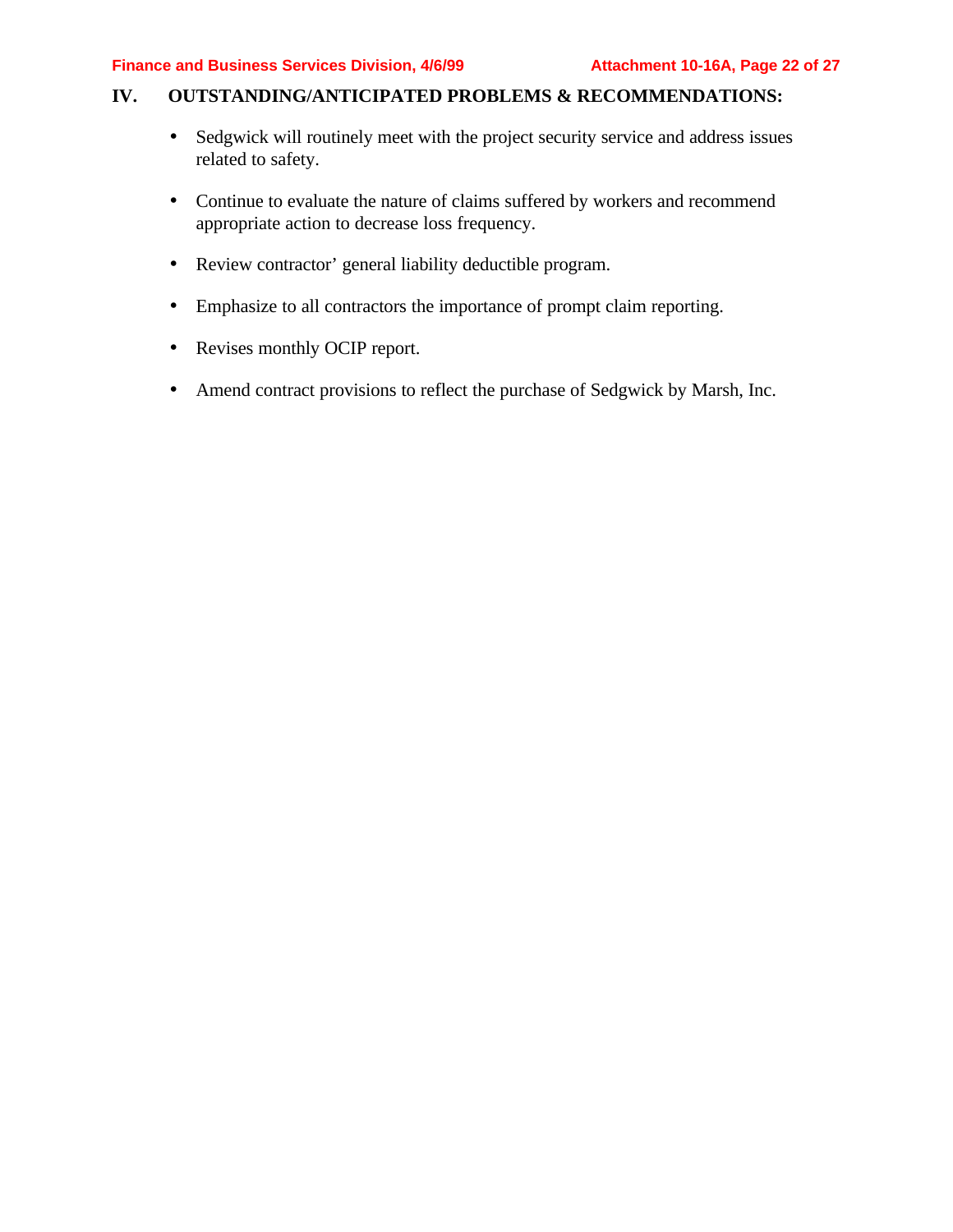### **IV. OUTSTANDING/ANTICIPATED PROBLEMS & RECOMMENDATIONS:**

- Sedgwick will routinely meet with the project security service and address issues related to safety.
- Continue to evaluate the nature of claims suffered by workers and recommend appropriate action to decrease loss frequency.
- Review contractor' general liability deductible program.
- Emphasize to all contractors the importance of prompt claim reporting.
- Revises monthly OCIP report.
- Amend contract provisions to reflect the purchase of Sedgwick by Marsh, Inc.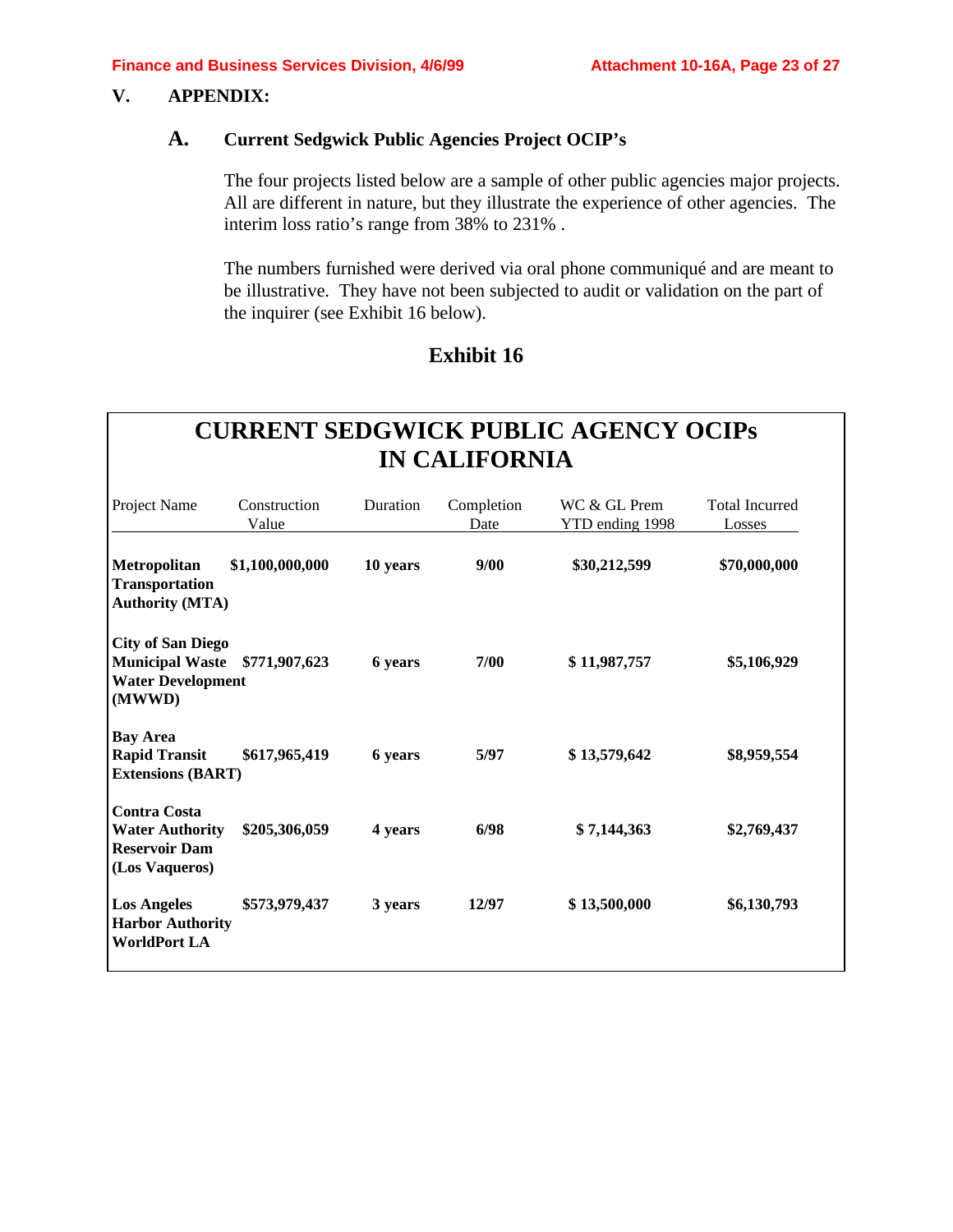### **V. APPENDIX:**

#### **A. Current Sedgwick Public Agencies Project OCIP's**

The four projects listed below are a sample of other public agencies major projects. All are different in nature, but they illustrate the experience of other agencies. The interim loss ratio's range from 38% to 231% .

The numbers furnished were derived via oral phone communiqué and are meant to be illustrative. They have not been subjected to audit or validation on the part of the inquirer (see Exhibit 16 below).

### **Exhibit 16**

# **CURRENT SEDGWICK PUBLIC AGENCY OCIPs IN CALIFORNIA**

| Project Name                                                                             | Construction<br>Value | Duration | Completion<br>Date | WC & GL Prem<br>YTD ending 1998 | <b>Total Incurred</b><br>Losses |
|------------------------------------------------------------------------------------------|-----------------------|----------|--------------------|---------------------------------|---------------------------------|
| <b>Metropolitan</b><br><b>Transportation</b><br><b>Authority (MTA)</b>                   | \$1,100,000,000       | 10 years | 9/00               | \$30,212,599                    | \$70,000,000                    |
| <b>City of San Diego</b><br><b>Municipal Waste</b><br><b>Water Development</b><br>(MWWD) | \$771,907,623         | 6 years  | 7/00               | \$11,987,757                    | \$5,106,929                     |
| <b>Bay Area</b><br><b>Rapid Transit</b><br><b>Extensions (BART)</b>                      | \$617,965,419         | 6 years  | 5/97               | \$13,579,642                    | \$8,959,554                     |
| <b>Contra Costa</b><br><b>Water Authority</b><br><b>Reservoir Dam</b><br>(Los Vaqueros)  | \$205,306,059         | 4 years  | 6/98               | \$7,144,363                     | \$2,769,437                     |
| <b>Los Angeles</b><br><b>Harbor Authority</b><br><b>WorldPort LA</b>                     | \$573,979,437         | 3 years  | 12/97              | \$13,500,000                    | \$6,130,793                     |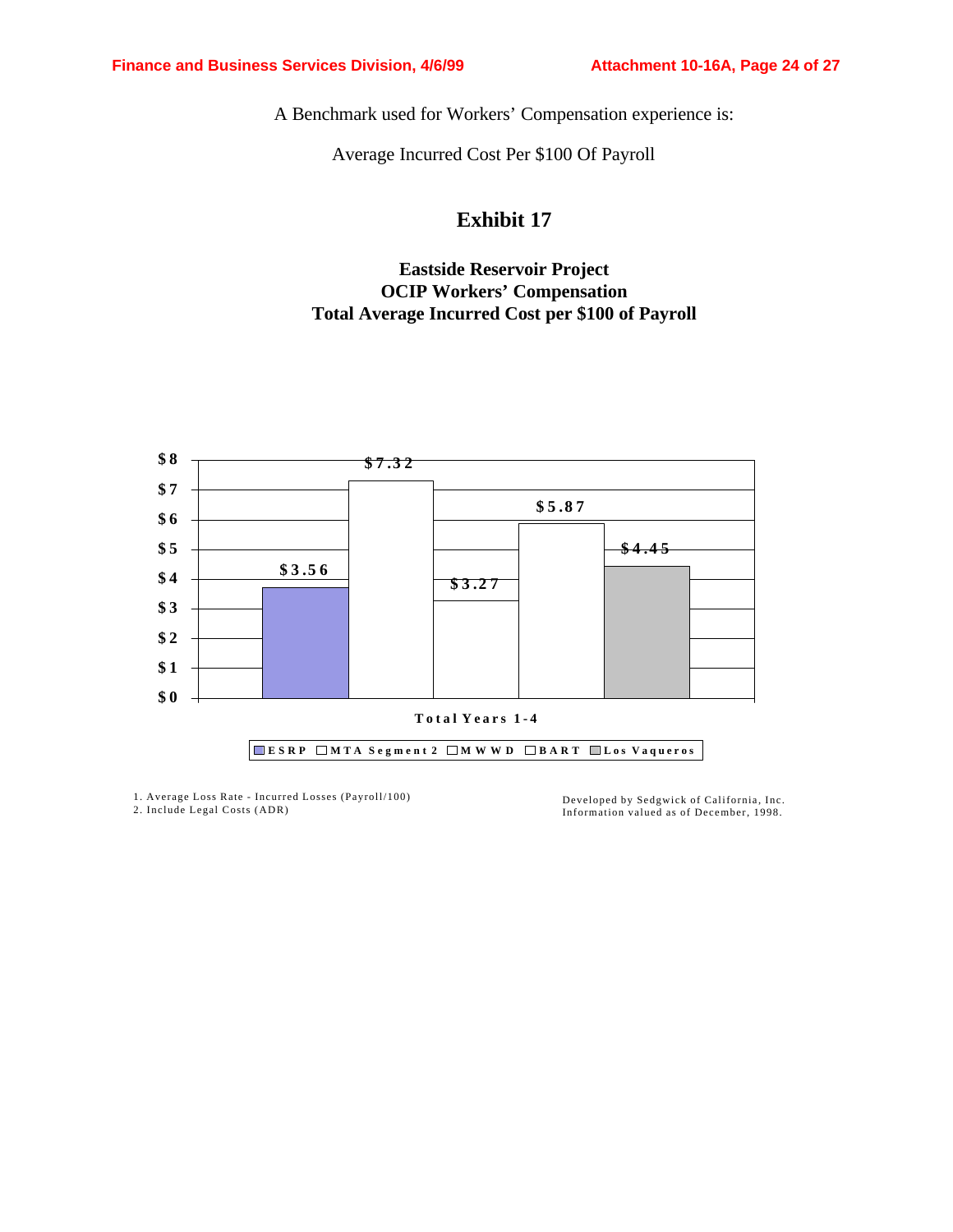A Benchmark used for Workers' Compensation experience is:

Average Incurred Cost Per \$100 Of Payroll

## **Exhibit 17**

### **Eastside Reservoir Project OCIP Workers' Compensation Total Average Incurred Cost per \$100 of Payroll**



1. Average Loss Rate - Incurred Losses (Payroll/100) 2. Include Legal Costs (ADR)

Developed by Sedgwick of California, Inc. Information valued as of December, 1998.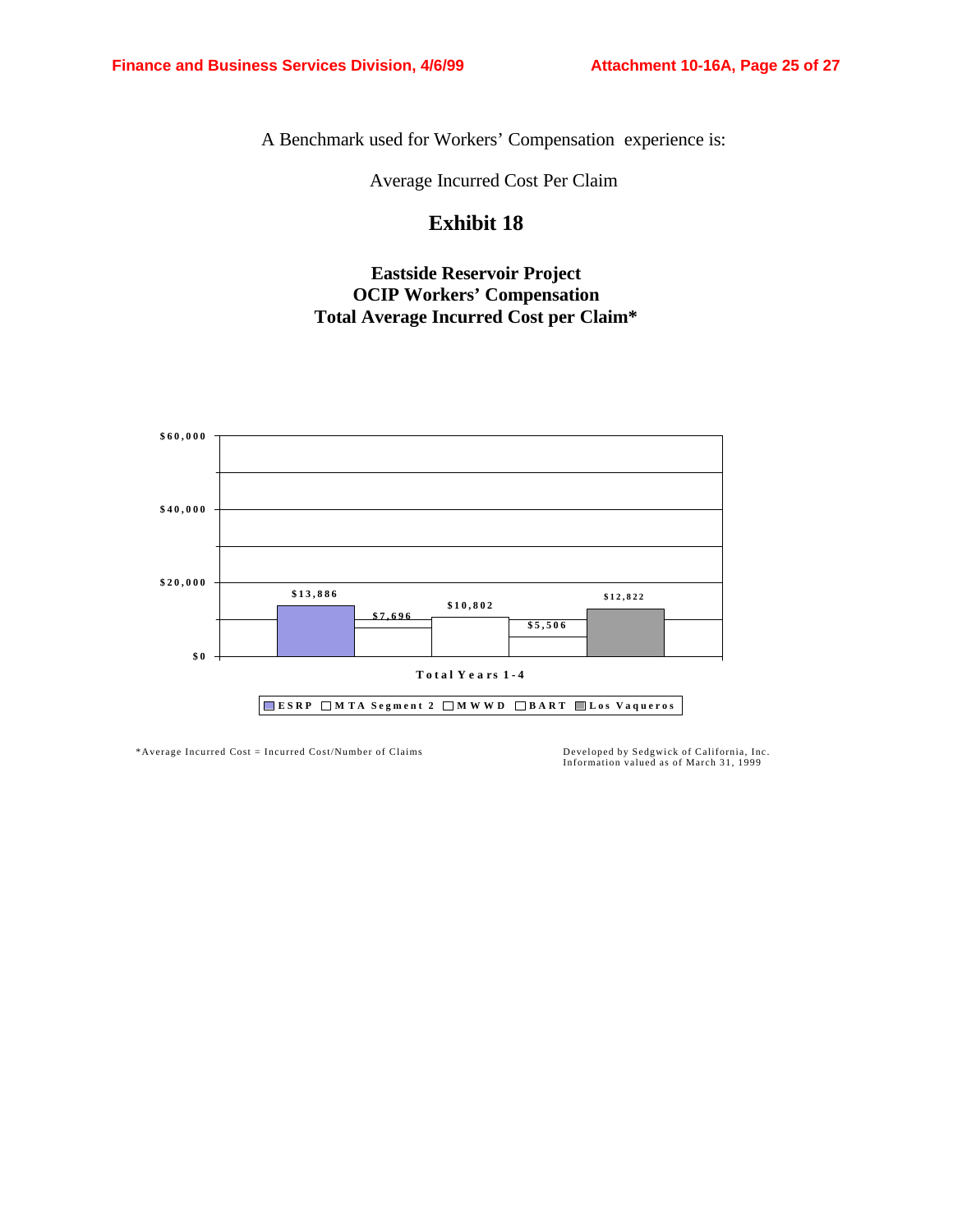A Benchmark used for Workers' Compensation experience is:

Average Incurred Cost Per Claim

### **Exhibit 18**

### **Eastside Reservoir Project OCIP Workers' Compensation Total Average Incurred Cost per Claim\***



\*Average Incurred Cost = Incurred Cost/Number of Claims Developed by Sedgwick of California, Inc.

Information valued as of March 31, 1999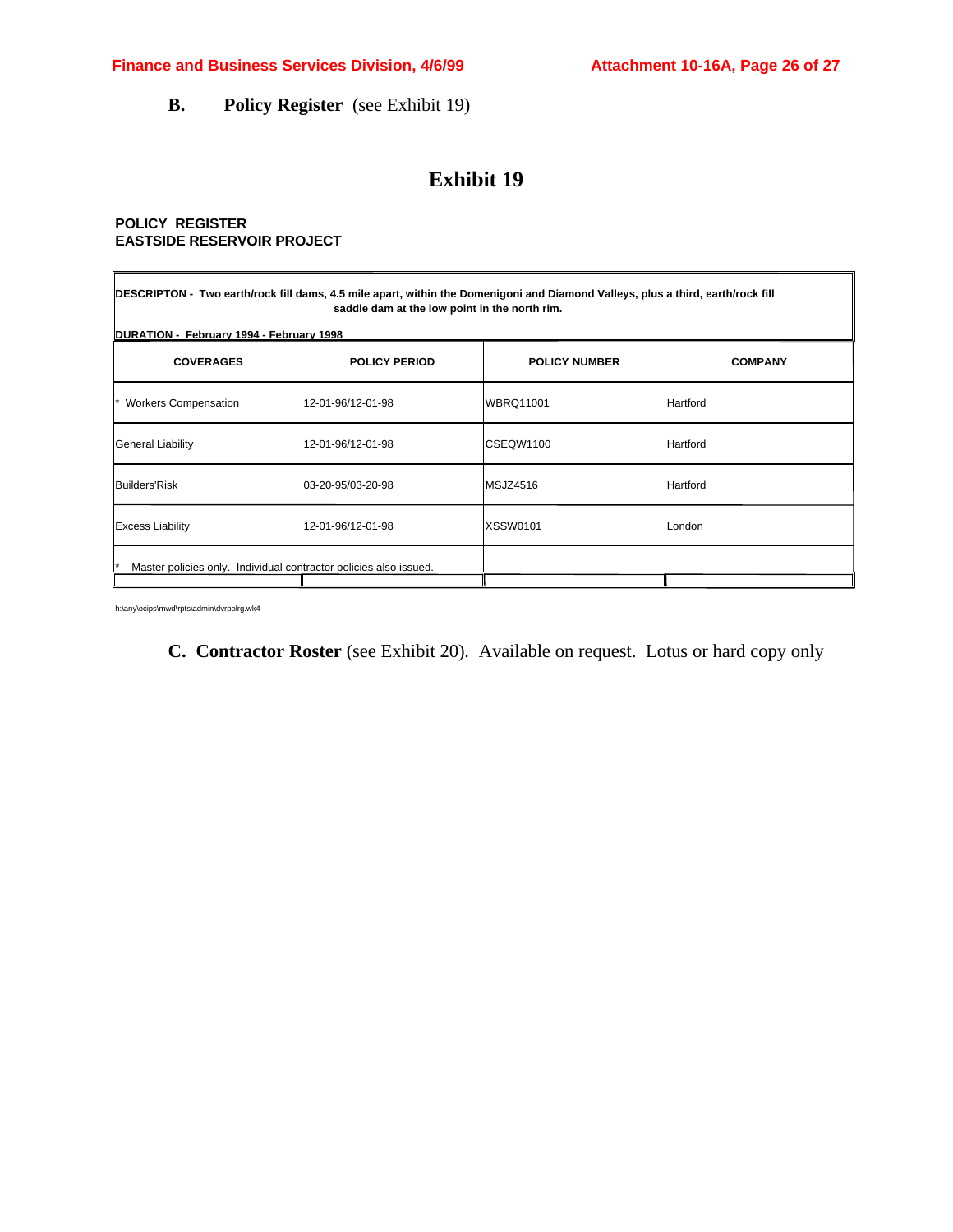**B. Policy Register** (see Exhibit 19)

### **Exhibit 19**

#### **POLICY REGISTER EASTSIDE RESERVOIR PROJECT**

| DESCRIPTON - Two earth/rock fill dams, 4.5 mile apart, within the Domenigoni and Diamond Valleys, plus a third, earth/rock fill<br>saddle dam at the low point in the north rim.<br>DURATION - February 1994 - February 1998 |                    |                  |          |  |  |  |
|------------------------------------------------------------------------------------------------------------------------------------------------------------------------------------------------------------------------------|--------------------|------------------|----------|--|--|--|
| <b>COVERAGES</b><br><b>POLICY PERIOD</b><br><b>POLICY NUMBER</b><br><b>COMPANY</b>                                                                                                                                           |                    |                  |          |  |  |  |
| <b>Workers Compensation</b>                                                                                                                                                                                                  | l12-01-96/12-01-98 | <b>WBRQ11001</b> | Hartford |  |  |  |
| General Liability                                                                                                                                                                                                            | l12-01-96/12-01-98 | CSEQW1100        | Hartford |  |  |  |
| <b>Builders'Risk</b>                                                                                                                                                                                                         | 03-20-95/03-20-98  | MSJZ4516         | Hartford |  |  |  |
| <b>Excess Liability</b>                                                                                                                                                                                                      | l12-01-96/12-01-98 | <b>XSSW0101</b>  | London   |  |  |  |
| Master policies only. Individual contractor policies also issued.                                                                                                                                                            |                    |                  |          |  |  |  |

h:\any\ocips\mwd\rpts\admin\dvrpolrg.wk4

**C. Contractor Roster** (see Exhibit 20). Available on request. Lotus or hard copy only